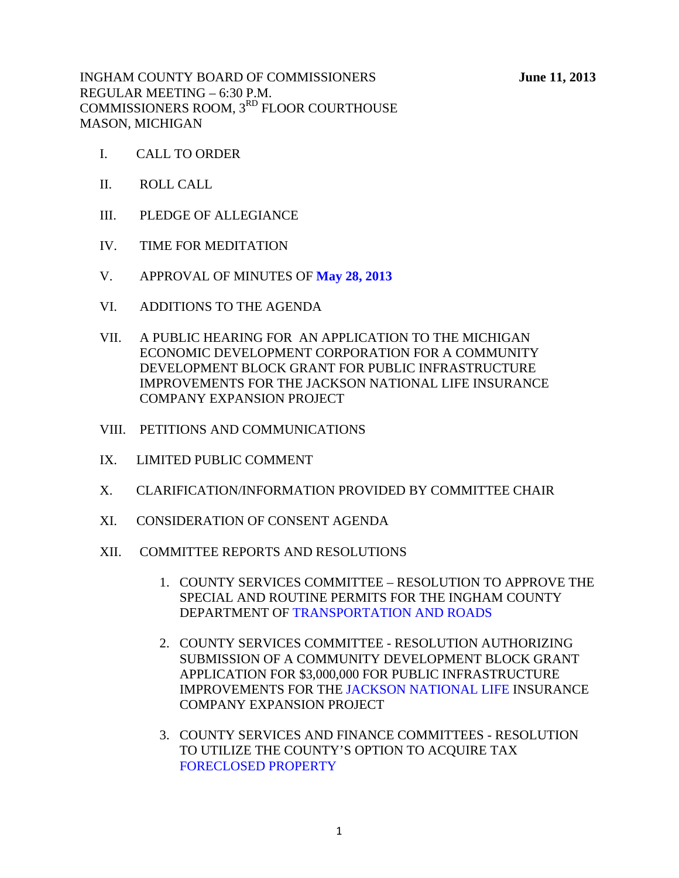INGHAM COUNTY BOARD OF COMMISSIONERS **June 11, 2013**  REGULAR MEETING – 6:30 P.M. COMMISSIONERS ROOM, 3<sup>RD</sup> FLOOR COURTHOUSE MASON, MICHIGAN

- I. CALL TO ORDER
- II. ROLL CALL
- III. PLEDGE OF ALLEGIANCE
- IV. TIME FOR MEDITATION
- V. APPROVAL OF MINUTES OF **[May 28, 2013](#page-2-0)**
- VI. ADDITIONS TO THE AGENDA
- VII. A PUBLIC HEARING FOR AN APPLICATION TO THE MICHIGAN ECONOMIC DEVELOPMENT CORPORATION FOR A COMMUNITY DEVELOPMENT BLOCK GRANT FOR PUBLIC INFRASTRUCTURE IMPROVEMENTS FOR THE JACKSON NATIONAL LIFE INSURANCE COMPANY EXPANSION PROJECT
- VIII. PETITIONS AND COMMUNICATIONS
- IX. LIMITED PUBLIC COMMENT
- X. CLARIFICATION/INFORMATION PROVIDED BY COMMITTEE CHAIR
- XI. CONSIDERATION OF CONSENT AGENDA
- XII. COMMITTEE REPORTS AND RESOLUTIONS
	- 1. COUNTY SERVICES COMMITTEE RESOLUTION TO APPROVE THE SPECIAL AND ROUTINE PERMITS FOR THE INGHAM COUNTY DEPARTMENT [OF TRANSPORTATION AND ROADS](#page-28-0)
	- 2. COUNTY SERVICES COMMITTEE RESOLUTION AUTHORIZING SUBMISSION OF A COMMUNITY DEVELOPMENT BLOCK GRANT APPLICATION FOR \$3,000,000 FOR PUBLIC INFRASTRUCTURE IMPROVEMENTS FOR THE [JACKSON NATIONAL LIFE I](#page-30-0)NSURANCE COMPANY EXPANSION PROJECT
	- 3. COUNTY SERVICES AND FINANCE COMMITTEES RESOLUTION TO UTILIZE THE COUNTY'S OPTION TO ACQUIRE TAX [FORECLOSED PROPERTY](#page-32-0)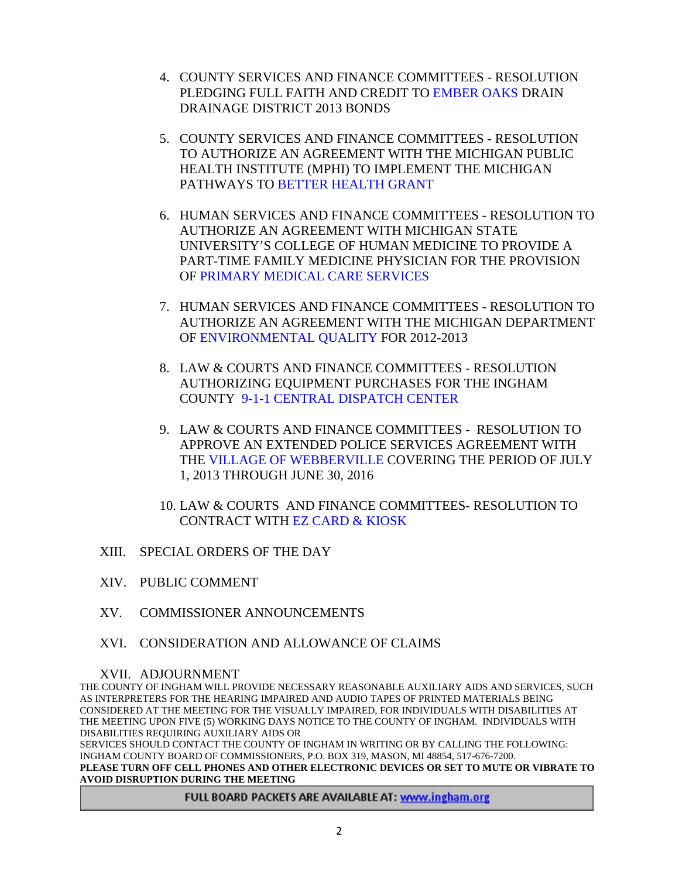- 4. COUNTY SERVICES AND FINANCE COMMITTEES RESOLUTION PLEDGING FULL FAITH AND CRE[DIT TO EMBER OAKS DRAIN](#page-39-0) DRAINAGE DISTRICT 2013 BONDS
- 5. COUNTY SERVICES AND FINANCE COMMITTEES RESOLUTION TO AUTHORIZE AN AGREEMENT WITH THE MICHIGAN PUBLIC HEALTH IN[STITUTE \(MPHI\) TO IMPLEMENT THE MIC](#page-42-0)HIGAN PATHWAYS TO BETTER HEALTH GRANT
- 6. HUMAN SERVICES AND FINANCE COMMITTEES RESOLUTION TO AUTHORIZE AN AGREEMENT WITH MICHIGAN STATE UNIVERSITY'S COLLEGE OF HUMAN MEDICINE TO PROVIDE A PART-TIME FAMILY MEDICINE PHYSICIAN FOR THE PROVISION O[F PRIMARY MEDICAL CARE SERVICES](#page-45-0)
- 7. HUMAN SERVICES AND FINANCE COMMITTEES RESOLUTION TO AUTHORIZE AN AGREEMENT WITH THE MICHIGAN DEPARTMENT [OF ENVIRONMENTAL QUALITY FOR 2012-](#page-47-0)2013
- 8. LAW & COURTS AND FINANCE COMMITTEES RESOLUTION AUTHORIZING EQUIPMENT PURCHASES FOR THE INGHAM COU[NTY 9-1-1 CENTRAL DISPATCH CENTER](#page-48-0)
- 9. LAW & COURTS AND FINANCE COMMITTEES RESOLUTION TO A[PPROVE AN EXTENDED POLICE SERV](#page-49-0)ICES AGREEMENT WITH THE VILLAGE OF WEBBERVILLE COVERING THE PERIOD OF JULY 1, 2013 THROUGH JUNE 30, 2016
- 10. LAW & COURTS AND FINANCE COMMITTEES- RESOLUTION TO CONTRACT WIT[H EZ CARD & KIOSK](#page-51-0)
- XIII. SPECIAL ORDERS OF THE DAY
- XIV. PUBLIC COMMENT
- XV. COMMISSIONER ANNOUNCEMENTS
- XVI. CONSIDERATION AND ALLOWANCE OF CLAIMS

#### XVII. ADJOURNMENT

THE COUNTY OF INGHAM WILL PROVIDE NECESSARY REASONABLE AUXILIARY AIDS AND SERVICES, SUCH AS INTERPRETERS FOR THE HEARING IMPAIRED AND AUDIO TAPES OF PRINTED MATERIALS BEING CONSIDERED AT THE MEETING FOR THE VISUALLY IMPAIRED, FOR INDIVIDUALS WITH DISABILITIES AT THE MEETING UPON FIVE (5) WORKING DAYS NOTICE TO THE COUNTY OF INGHAM. INDIVIDUALS WITH DISABILITIES REQUIRING AUXILIARY AIDS OR

SERVICES SHOULD CONTACT THE COUNTY OF INGHAM IN WRITING OR BY CALLING THE FOLLOWING: INGHAM COUNTY BOARD OF COMMISSIONERS, P.O. BOX 319, MASON, MI 48854, 517-676-7200. **PLEASE TURN OFF CELL PHONES AND OTHER ELECTRONIC DEVICES OR SET TO MUTE OR VIBRATE TO AVOID DISRUPTION DURING THE MEETING** 

#### FULL BOARD PACKETS ARE AVAILABLE AT: www.ingham.org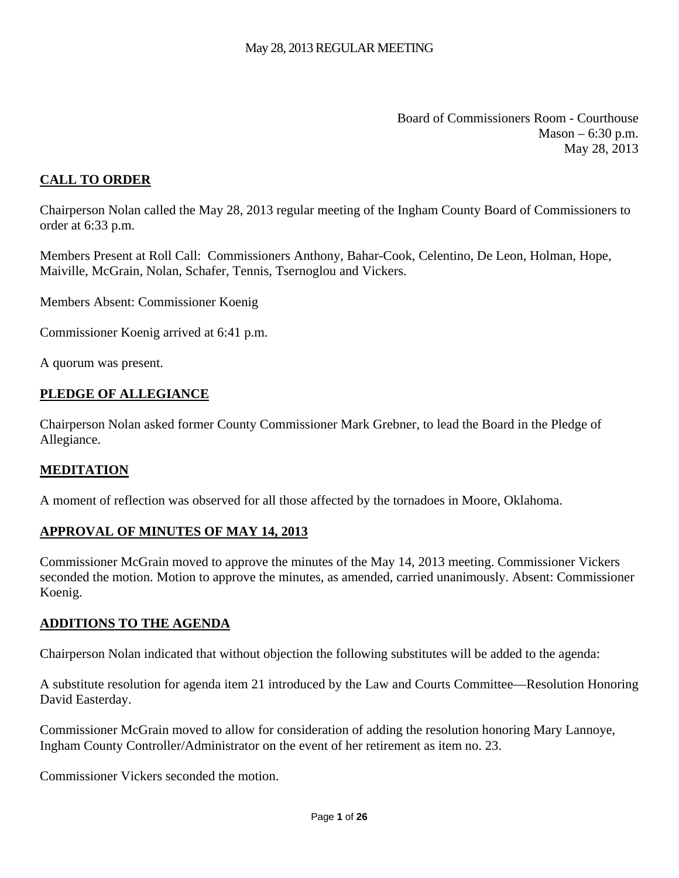Board of Commissioners Room - Courthouse Mason – 6:30 p.m. May 28, 2013

## <span id="page-2-0"></span>**CALL TO ORDER**

Chairperson Nolan called the May 28, 2013 regular meeting of the Ingham County Board of Commissioners to order at 6:33 p.m.

Members Present at Roll Call: Commissioners Anthony, Bahar-Cook, Celentino, De Leon, Holman, Hope, Maiville, McGrain, Nolan, Schafer, Tennis, Tsernoglou and Vickers.

Members Absent: Commissioner Koenig

Commissioner Koenig arrived at 6:41 p.m.

A quorum was present.

#### **PLEDGE OF ALLEGIANCE**

Chairperson Nolan asked former County Commissioner Mark Grebner, to lead the Board in the Pledge of Allegiance.

#### **MEDITATION**

A moment of reflection was observed for all those affected by the tornadoes in Moore, Oklahoma.

#### **APPROVAL OF MINUTES OF MAY 14, 2013**

Commissioner McGrain moved to approve the minutes of the May 14, 2013 meeting. Commissioner Vickers seconded the motion. Motion to approve the minutes, as amended, carried unanimously. Absent: Commissioner Koenig.

#### **ADDITIONS TO THE AGENDA**

Chairperson Nolan indicated that without objection the following substitutes will be added to the agenda:

A substitute resolution for agenda item 21 introduced by the Law and Courts Committee—Resolution Honoring David Easterday.

Commissioner McGrain moved to allow for consideration of adding the resolution honoring Mary Lannoye, Ingham County Controller/Administrator on the event of her retirement as item no. 23.

Commissioner Vickers seconded the motion.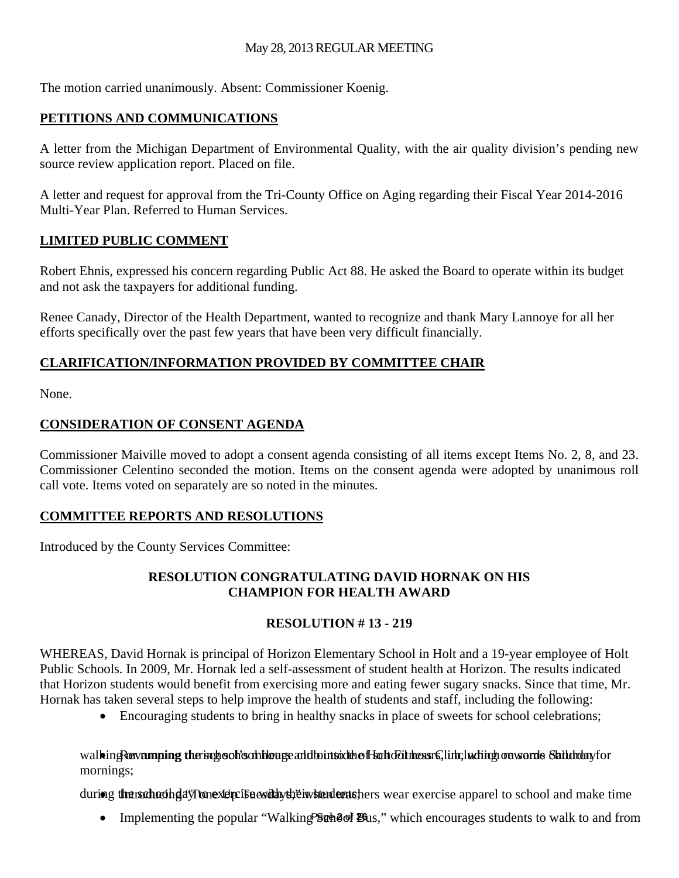The motion carried unanimously. Absent: Commissioner Koenig.

# **PETITIONS AND COMMUNICATIONS**

A letter from the Michigan Department of Environmental Quality, with the air quality division's pending new source review application report. Placed on file.

A letter and request for approval from the Tri-County Office on Aging regarding their Fiscal Year 2014-2016 Multi-Year Plan. Referred to Human Services.

## **LIMITED PUBLIC COMMENT**

Robert Ehnis, expressed his concern regarding Public Act 88. He asked the Board to operate within its budget and not ask the taxpayers for additional funding.

Renee Canady, Director of the Health Department, wanted to recognize and thank Mary Lannoye for all her efforts specifically over the past few years that have been very difficult financially.

## **CLARIFICATION/INFORMATION PROVIDED BY COMMITTEE CHAIR**

None.

## **CONSIDERATION OF CONSENT AGENDA**

Commissioner Maiville moved to adopt a consent agenda consisting of all items except Items No. 2, 8, and 23. Commissioner Celentino seconded the motion. Items on the consent agenda were adopted by unanimous roll call vote. Items voted on separately are so noted in the minutes.

## **COMMITTEE REPORTS AND RESOLUTIONS**

Introduced by the County Services Committee:

## **RESOLUTION CONGRATULATING DAVID HORNAK ON HIS CHAMPION FOR HEALTH AWARD**

## **RESOLUTION # 13 - 219**

WHEREAS, David Hornak is principal of Horizon Elementary School in Holt and a 19-year employee of Holt Public Schools. In 2009, Mr. Hornak led a self-assessment of student health at Horizon. The results indicated that Horizon students would benefit from exercising more and eating fewer sugary snacks. Since that time, Mr. Hornak has taken several steps to help improve the health of students and staff, including the following:

• Encouraging students to bring in healthy snacks in place of sweets for school celebrations;

walking Revamping the subsodies on hours and bounted the fit school heasing into the into the school hours on solution of school and school hours, including on wards children for mornings;

during the trachoological Tronexel profise excludiously their wishend tends there is a care exercise apparel to school and make time

• Implementing the popular "Walking School Bus," which encourages students to walk to and from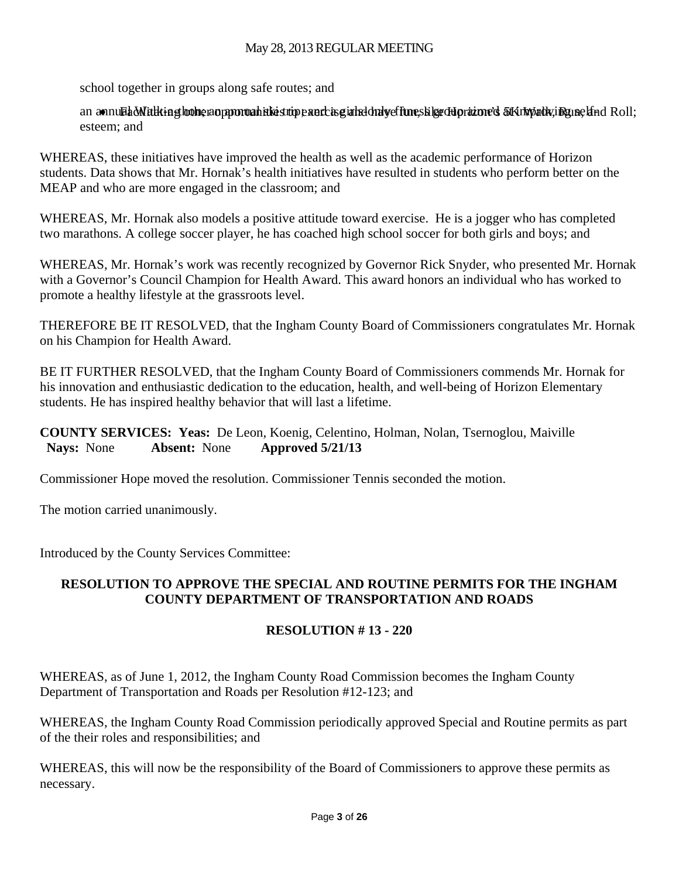school together in groups along safe routes; and

an annual Malking hother an apportual ski strip panchis girls donly effune, slige di prazione's 5K months in Rune land Roll; esteem; and

WHEREAS, these initiatives have improved the health as well as the academic performance of Horizon students. Data shows that Mr. Hornak's health initiatives have resulted in students who perform better on the MEAP and who are more engaged in the classroom; and

WHEREAS, Mr. Hornak also models a positive attitude toward exercise. He is a jogger who has completed two marathons. A college soccer player, he has coached high school soccer for both girls and boys; and

WHEREAS, Mr. Hornak's work was recently recognized by Governor Rick Snyder, who presented Mr. Hornak with a Governor's Council Champion for Health Award. This award honors an individual who has worked to promote a healthy lifestyle at the grassroots level.

THEREFORE BE IT RESOLVED, that the Ingham County Board of Commissioners congratulates Mr. Hornak on his Champion for Health Award.

BE IT FURTHER RESOLVED, that the Ingham County Board of Commissioners commends Mr. Hornak for his innovation and enthusiastic dedication to the education, health, and well-being of Horizon Elementary students. He has inspired healthy behavior that will last a lifetime.

**COUNTY SERVICES: Yeas:** De Leon, Koenig, Celentino, Holman, Nolan, Tsernoglou, Maiville  **Nays:** None **Absent:** None **Approved 5/21/13** 

Commissioner Hope moved the resolution. Commissioner Tennis seconded the motion.

The motion carried unanimously.

Introduced by the County Services Committee:

#### **RESOLUTION TO APPROVE THE SPECIAL AND ROUTINE PERMITS FOR THE INGHAM COUNTY DEPARTMENT OF TRANSPORTATION AND ROADS**

## **RESOLUTION # 13 - 220**

WHEREAS, as of June 1, 2012, the Ingham County Road Commission becomes the Ingham County Department of Transportation and Roads per Resolution #12-123; and

WHEREAS, the Ingham County Road Commission periodically approved Special and Routine permits as part of the their roles and responsibilities; and

WHEREAS, this will now be the responsibility of the Board of Commissioners to approve these permits as necessary.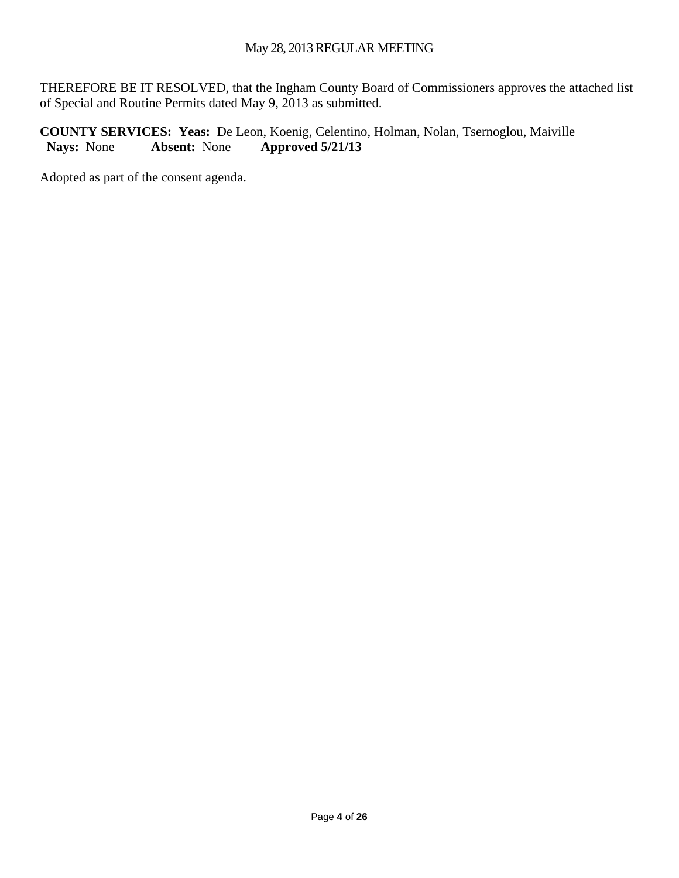THEREFORE BE IT RESOLVED, that the Ingham County Board of Commissioners approves the attached list of Special and Routine Permits dated May 9, 2013 as submitted.

**COUNTY SERVICES: Yeas:** De Leon, Koenig, Celentino, Holman, Nolan, Tsernoglou, Maiville  **Nays:** None **Absent:** None **Approved 5/21/13** 

Adopted as part of the consent agenda.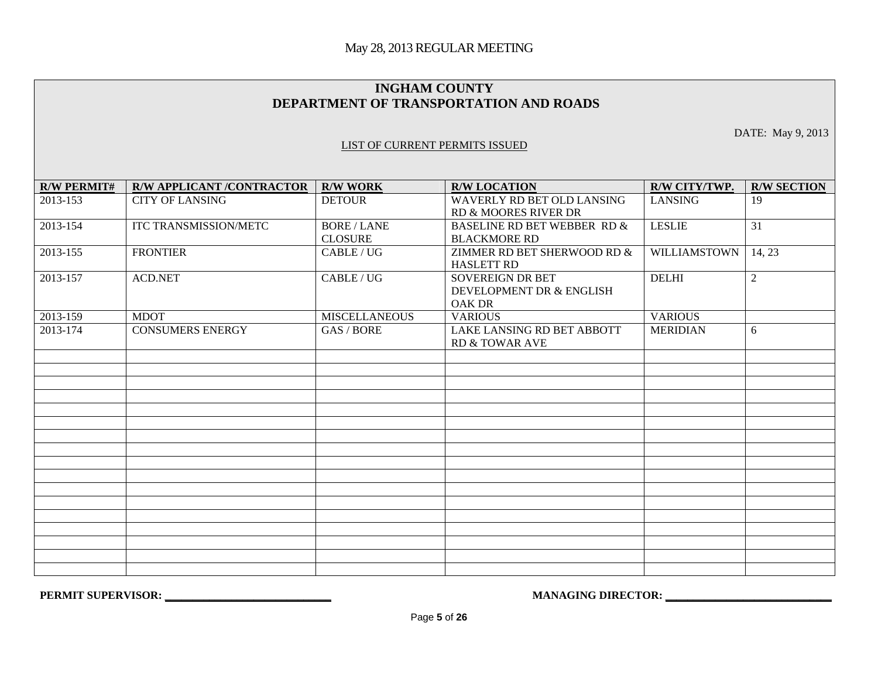#### **INGHAM COUNTY DEPARTMENT OF TRANSPORTATION AND ROADS**

DATE: May 9, 2013

#### LIST OF CURRENT PERMITS ISSUED

| <b>R/W PERMIT#</b> | <b>R/W APPLICANT /CONTRACTOR</b> | <b>R/W WORK</b>                      | <b>R/W LOCATION</b>                                                  | R/W CITY/TWP.       | <b>R/W SECTION</b> |
|--------------------|----------------------------------|--------------------------------------|----------------------------------------------------------------------|---------------------|--------------------|
| 2013-153           | <b>CITY OF LANSING</b>           | <b>DETOUR</b>                        | WAVERLY RD BET OLD LANSING<br>RD & MOORES RIVER DR                   | <b>LANSING</b>      | 19                 |
| 2013-154           | ITC TRANSMISSION/METC            | <b>BORE / LANE</b><br><b>CLOSURE</b> | <b>BASELINE RD BET WEBBER RD &amp;</b><br><b>BLACKMORE RD</b>        | <b>LESLIE</b>       | 31                 |
| 2013-155           | <b>FRONTIER</b>                  | CABLE/UG                             | ZIMMER RD BET SHERWOOD RD &<br><b>HASLETT RD</b>                     | <b>WILLIAMSTOWN</b> | 14, 23             |
| 2013-157           | <b>ACD.NET</b>                   | CABLE/UG                             | <b>SOVEREIGN DR BET</b><br>DEVELOPMENT DR & ENGLISH<br><b>OAK DR</b> | <b>DELHI</b>        | $\overline{2}$     |
| 2013-159           | <b>MDOT</b>                      | <b>MISCELLANEOUS</b>                 | <b>VARIOUS</b>                                                       | <b>VARIOUS</b>      |                    |
| 2013-174           | <b>CONSUMERS ENERGY</b>          | GAS / BORE                           | LAKE LANSING RD BET ABBOTT<br><b>RD &amp; TOWAR AVE</b>              | <b>MERIDIAN</b>     | 6                  |
|                    |                                  |                                      |                                                                      |                     |                    |
|                    |                                  |                                      |                                                                      |                     |                    |
|                    |                                  |                                      |                                                                      |                     |                    |
|                    |                                  |                                      |                                                                      |                     |                    |
|                    |                                  |                                      |                                                                      |                     |                    |
|                    |                                  |                                      |                                                                      |                     |                    |
|                    |                                  |                                      |                                                                      |                     |                    |
|                    |                                  |                                      |                                                                      |                     |                    |
|                    |                                  |                                      |                                                                      |                     |                    |
|                    |                                  |                                      |                                                                      |                     |                    |
|                    |                                  |                                      |                                                                      |                     |                    |
|                    |                                  |                                      |                                                                      |                     |                    |
|                    |                                  |                                      |                                                                      |                     |                    |
|                    |                                  |                                      |                                                                      |                     |                    |
|                    |                                  |                                      |                                                                      |                     |                    |
|                    |                                  |                                      |                                                                      |                     |                    |

**PERMIT SUPERVISOR: \_\_\_\_\_\_\_\_\_\_\_\_\_\_\_\_\_\_\_\_\_\_\_\_\_\_\_\_\_\_ MANAGING DIRECTOR: \_\_\_\_\_\_\_\_\_\_\_\_\_\_\_\_\_\_\_\_\_\_\_\_\_\_\_\_\_\_**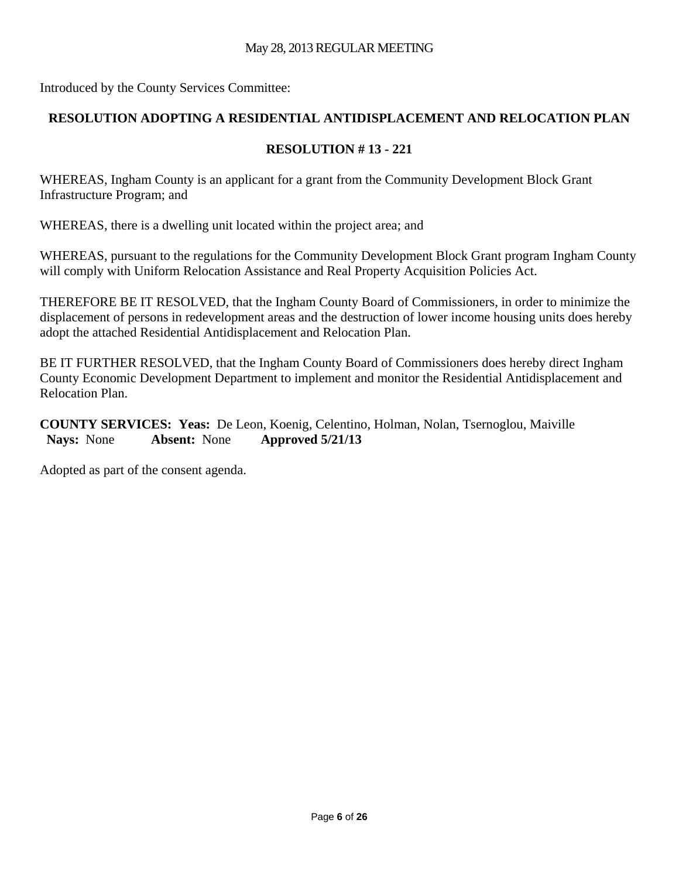Introduced by the County Services Committee:

# **RESOLUTION ADOPTING A RESIDENTIAL ANTIDISPLACEMENT AND RELOCATION PLAN**

## **RESOLUTION # 13 - 221**

WHEREAS, Ingham County is an applicant for a grant from the Community Development Block Grant Infrastructure Program; and

WHEREAS, there is a dwelling unit located within the project area; and

WHEREAS, pursuant to the regulations for the Community Development Block Grant program Ingham County will comply with Uniform Relocation Assistance and Real Property Acquisition Policies Act.

THEREFORE BE IT RESOLVED, that the Ingham County Board of Commissioners, in order to minimize the displacement of persons in redevelopment areas and the destruction of lower income housing units does hereby adopt the attached Residential Antidisplacement and Relocation Plan.

BE IT FURTHER RESOLVED, that the Ingham County Board of Commissioners does hereby direct Ingham County Economic Development Department to implement and monitor the Residential Antidisplacement and Relocation Plan.

**COUNTY SERVICES: Yeas:** De Leon, Koenig, Celentino, Holman, Nolan, Tsernoglou, Maiville  **Nays:** None **Absent:** None **Approved 5/21/13** 

Adopted as part of the consent agenda.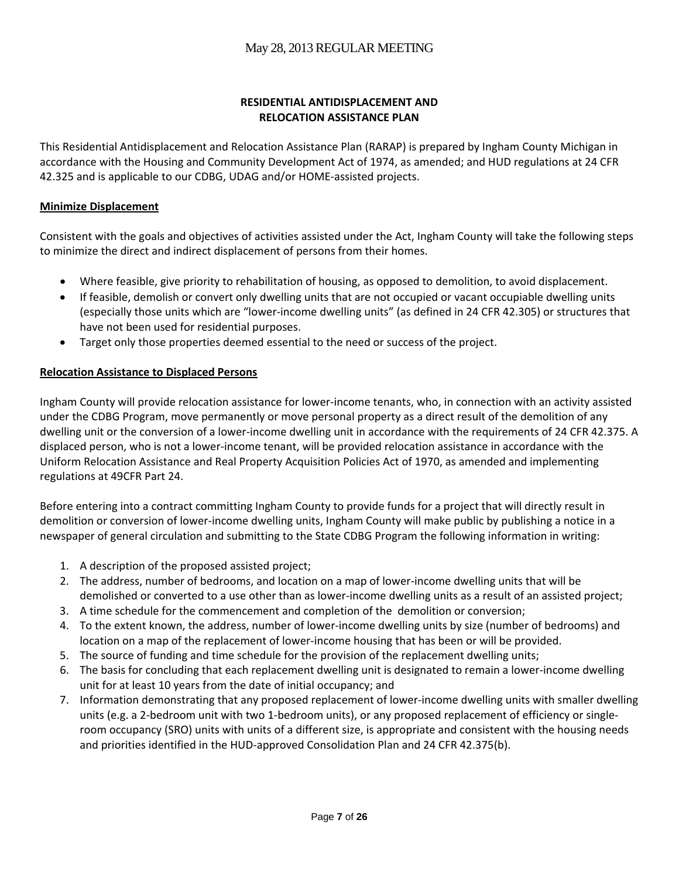#### **RESIDENTIAL ANTIDISPLACEMENT AND RELOCATION ASSISTANCE PLAN**

This Residential Antidisplacement and Relocation Assistance Plan (RARAP) is prepared by Ingham County Michigan in accordance with the Housing and Community Development Act of 1974, as amended; and HUD regulations at 24 CFR 42.325 and is applicable to our CDBG, UDAG and/or HOME‐assisted projects.

#### **Minimize Displacement**

Consistent with the goals and objectives of activities assisted under the Act, Ingham County will take the following steps to minimize the direct and indirect displacement of persons from their homes.

- Where feasible, give priority to rehabilitation of housing, as opposed to demolition, to avoid displacement.
- If feasible, demolish or convert only dwelling units that are not occupied or vacant occupiable dwelling units (especially those units which are "lower‐income dwelling units" (as defined in 24 CFR 42.305) or structures that have not been used for residential purposes.
- Target only those properties deemed essential to the need or success of the project.

#### **Relocation Assistance to Displaced Persons**

Ingham County will provide relocation assistance for lower‐income tenants, who, in connection with an activity assisted under the CDBG Program, move permanently or move personal property as a direct result of the demolition of any dwelling unit or the conversion of a lower-income dwelling unit in accordance with the requirements of 24 CFR 42.375. A displaced person, who is not a lower‐income tenant, will be provided relocation assistance in accordance with the Uniform Relocation Assistance and Real Property Acquisition Policies Act of 1970, as amended and implementing regulations at 49CFR Part 24.

Before entering into a contract committing Ingham County to provide funds for a project that will directly result in demolition or conversion of lower‐income dwelling units, Ingham County will make public by publishing a notice in a newspaper of general circulation and submitting to the State CDBG Program the following information in writing:

- 1. A description of the proposed assisted project;
- 2. The address, number of bedrooms, and location on a map of lower-income dwelling units that will be demolished or converted to a use other than as lower-income dwelling units as a result of an assisted project;
- 3. A time schedule for the commencement and completion of the demolition or conversion;
- 4. To the extent known, the address, number of lower‐income dwelling units by size (number of bedrooms) and location on a map of the replacement of lower-income housing that has been or will be provided.
- 5. The source of funding and time schedule for the provision of the replacement dwelling units;
- 6. The basis for concluding that each replacement dwelling unit is designated to remain a lower‐income dwelling unit for at least 10 years from the date of initial occupancy; and
- 7. Information demonstrating that any proposed replacement of lower-income dwelling units with smaller dwelling units (e.g. a 2-bedroom unit with two 1-bedroom units), or any proposed replacement of efficiency or singleroom occupancy (SRO) units with units of a different size, is appropriate and consistent with the housing needs and priorities identified in the HUD‐approved Consolidation Plan and 24 CFR 42.375(b).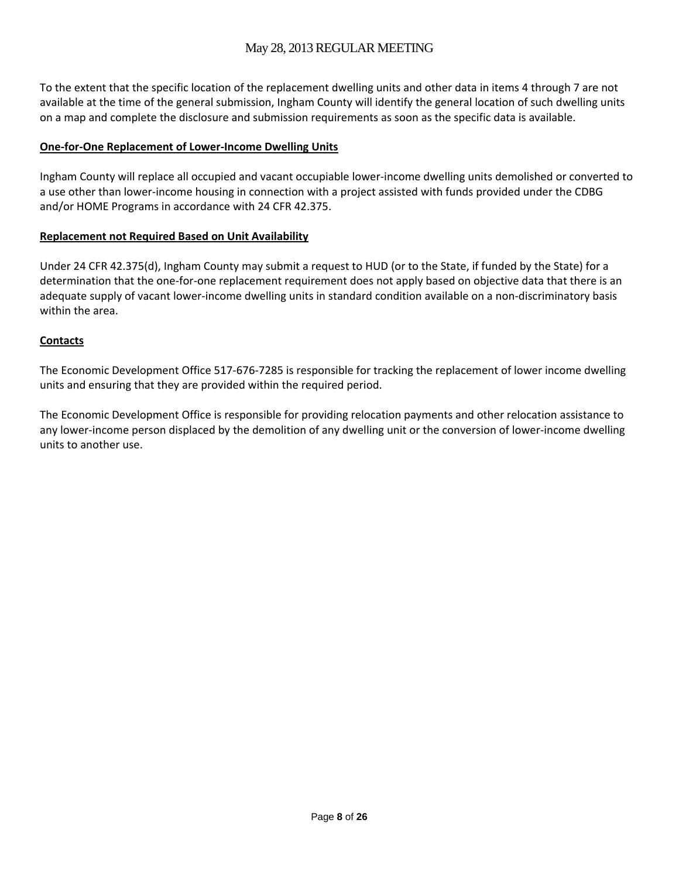To the extent that the specific location of the replacement dwelling units and other data in items 4 through 7 are not available at the time of the general submission, Ingham County will identify the general location of such dwelling units on a map and complete the disclosure and submission requirements as soon as the specific data is available.

#### **One‐for‐One Replacement of Lower‐Income Dwelling Units**

Ingham County will replace all occupied and vacant occupiable lower‐income dwelling units demolished or converted to a use other than lower‐income housing in connection with a project assisted with funds provided under the CDBG and/or HOME Programs in accordance with 24 CFR 42.375.

#### **Replacement not Required Based on Unit Availability**

Under 24 CFR 42.375(d), Ingham County may submit a request to HUD (or to the State, if funded by the State) for a determination that the one-for-one replacement requirement does not apply based on objective data that there is an adequate supply of vacant lower-income dwelling units in standard condition available on a non-discriminatory basis within the area.

#### **Contacts**

The Economic Development Office 517‐676‐7285 is responsible for tracking the replacement of lower income dwelling units and ensuring that they are provided within the required period.

The Economic Development Office is responsible for providing relocation payments and other relocation assistance to any lower-income person displaced by the demolition of any dwelling unit or the conversion of lower-income dwelling units to another use.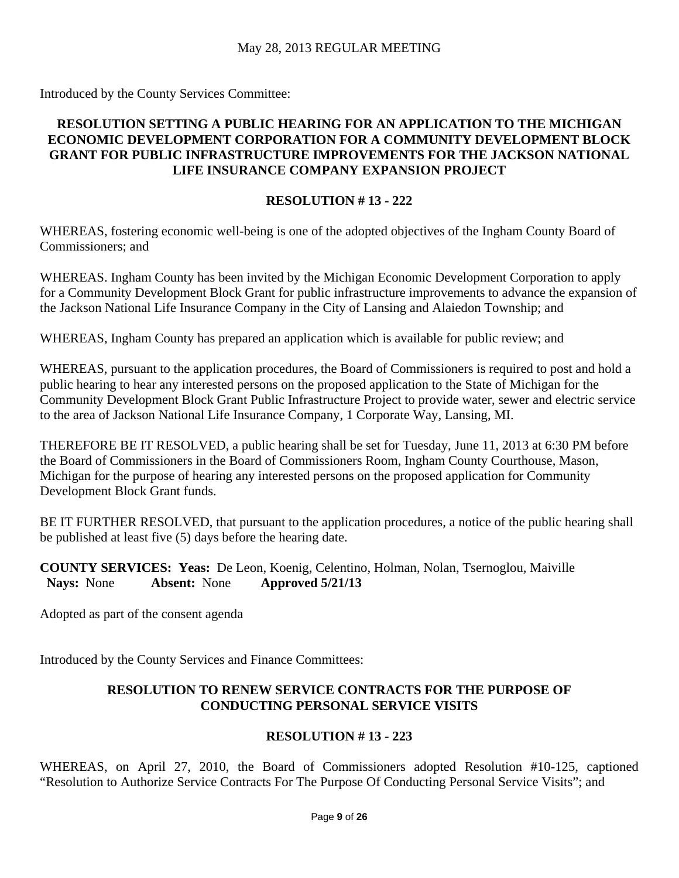Introduced by the County Services Committee:

## **RESOLUTION SETTING A PUBLIC HEARING FOR AN APPLICATION TO THE MICHIGAN ECONOMIC DEVELOPMENT CORPORATION FOR A COMMUNITY DEVELOPMENT BLOCK GRANT FOR PUBLIC INFRASTRUCTURE IMPROVEMENTS FOR THE JACKSON NATIONAL LIFE INSURANCE COMPANY EXPANSION PROJECT**

#### **RESOLUTION # 13 - 222**

WHEREAS, fostering economic well-being is one of the adopted objectives of the Ingham County Board of Commissioners; and

WHEREAS. Ingham County has been invited by the Michigan Economic Development Corporation to apply for a Community Development Block Grant for public infrastructure improvements to advance the expansion of the Jackson National Life Insurance Company in the City of Lansing and Alaiedon Township; and

WHEREAS, Ingham County has prepared an application which is available for public review; and

WHEREAS, pursuant to the application procedures, the Board of Commissioners is required to post and hold a public hearing to hear any interested persons on the proposed application to the State of Michigan for the Community Development Block Grant Public Infrastructure Project to provide water, sewer and electric service to the area of Jackson National Life Insurance Company, 1 Corporate Way, Lansing, MI.

THEREFORE BE IT RESOLVED, a public hearing shall be set for Tuesday, June 11, 2013 at 6:30 PM before the Board of Commissioners in the Board of Commissioners Room, Ingham County Courthouse, Mason, Michigan for the purpose of hearing any interested persons on the proposed application for Community Development Block Grant funds.

BE IT FURTHER RESOLVED, that pursuant to the application procedures, a notice of the public hearing shall be published at least five (5) days before the hearing date.

**COUNTY SERVICES: Yeas:** De Leon, Koenig, Celentino, Holman, Nolan, Tsernoglou, Maiville  **Nays:** None **Absent:** None **Approved 5/21/13** 

Adopted as part of the consent agenda

Introduced by the County Services and Finance Committees:

#### **RESOLUTION TO RENEW SERVICE CONTRACTS FOR THE PURPOSE OF CONDUCTING PERSONAL SERVICE VISITS**

#### **RESOLUTION # 13 - 223**

WHEREAS, on April 27, 2010, the Board of Commissioners adopted Resolution #10-125, captioned "Resolution to Authorize Service Contracts For The Purpose Of Conducting Personal Service Visits"; and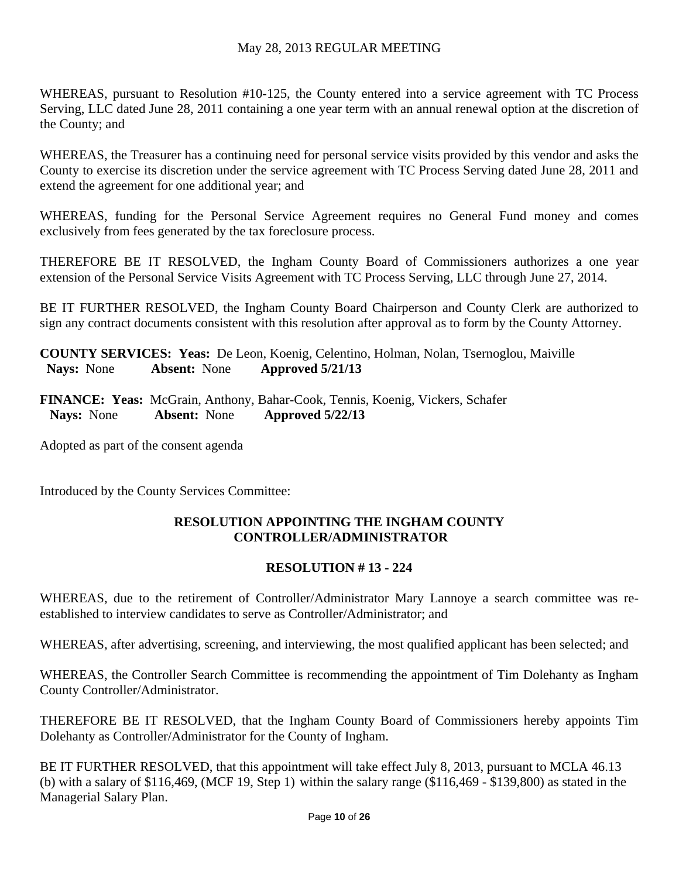WHEREAS, pursuant to Resolution #10-125, the County entered into a service agreement with TC Process Serving, LLC dated June 28, 2011 containing a one year term with an annual renewal option at the discretion of the County; and

WHEREAS, the Treasurer has a continuing need for personal service visits provided by this vendor and asks the County to exercise its discretion under the service agreement with TC Process Serving dated June 28, 2011 and extend the agreement for one additional year; and

WHEREAS, funding for the Personal Service Agreement requires no General Fund money and comes exclusively from fees generated by the tax foreclosure process.

THEREFORE BE IT RESOLVED, the Ingham County Board of Commissioners authorizes a one year extension of the Personal Service Visits Agreement with TC Process Serving, LLC through June 27, 2014.

BE IT FURTHER RESOLVED, the Ingham County Board Chairperson and County Clerk are authorized to sign any contract documents consistent with this resolution after approval as to form by the County Attorney.

**COUNTY SERVICES: Yeas:** De Leon, Koenig, Celentino, Holman, Nolan, Tsernoglou, Maiville  **Nays:** None **Absent:** None **Approved 5/21/13** 

**FINANCE: Yeas:** McGrain, Anthony, Bahar-Cook, Tennis, Koenig, Vickers, Schafer  **Nays:** None **Absent:** None **Approved 5/22/13** 

Adopted as part of the consent agenda

Introduced by the County Services Committee:

## **RESOLUTION APPOINTING THE INGHAM COUNTY CONTROLLER/ADMINISTRATOR**

## **RESOLUTION # 13 - 224**

WHEREAS, due to the retirement of Controller/Administrator Mary Lannoye a search committee was reestablished to interview candidates to serve as Controller/Administrator; and

WHEREAS, after advertising, screening, and interviewing, the most qualified applicant has been selected; and

WHEREAS, the Controller Search Committee is recommending the appointment of Tim Dolehanty as Ingham County Controller/Administrator.

THEREFORE BE IT RESOLVED, that the Ingham County Board of Commissioners hereby appoints Tim Dolehanty as Controller/Administrator for the County of Ingham.

BE IT FURTHER RESOLVED, that this appointment will take effect July 8, 2013, pursuant to MCLA 46.13 (b) with a salary of \$116,469, (MCF 19, Step 1) within the salary range (\$116,469 - \$139,800) as stated in the Managerial Salary Plan.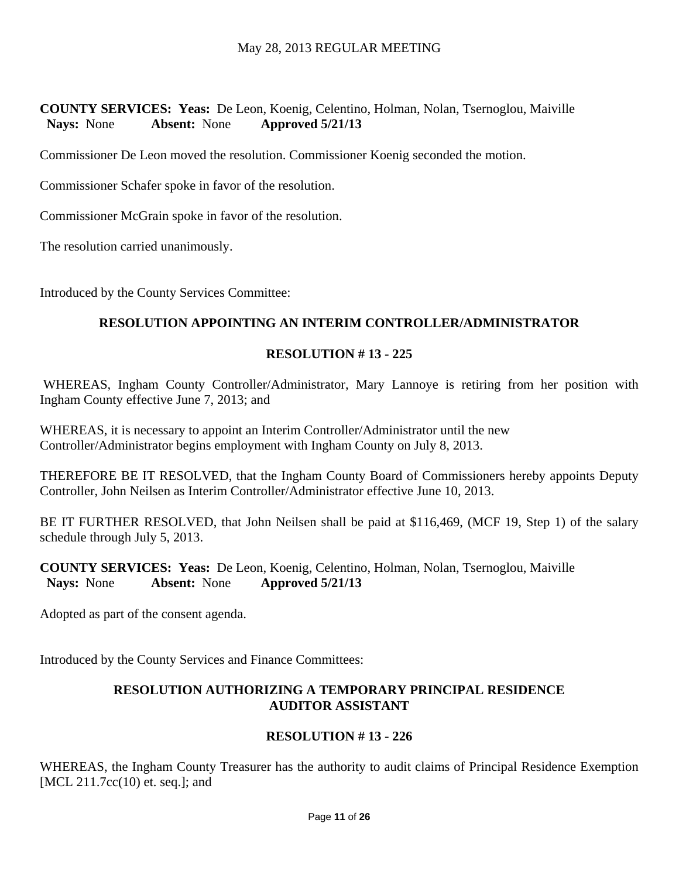**COUNTY SERVICES: Yeas:** De Leon, Koenig, Celentino, Holman, Nolan, Tsernoglou, Maiville  **Nays:** None **Absent:** None **Approved 5/21/13** 

Commissioner De Leon moved the resolution. Commissioner Koenig seconded the motion.

Commissioner Schafer spoke in favor of the resolution.

Commissioner McGrain spoke in favor of the resolution.

The resolution carried unanimously.

Introduced by the County Services Committee:

#### **RESOLUTION APPOINTING AN INTERIM CONTROLLER/ADMINISTRATOR**

#### **RESOLUTION # 13 - 225**

 WHEREAS, Ingham County Controller/Administrator, Mary Lannoye is retiring from her position with Ingham County effective June 7, 2013; and

WHEREAS, it is necessary to appoint an Interim Controller/Administrator until the new Controller/Administrator begins employment with Ingham County on July 8, 2013.

THEREFORE BE IT RESOLVED, that the Ingham County Board of Commissioners hereby appoints Deputy Controller, John Neilsen as Interim Controller/Administrator effective June 10, 2013.

BE IT FURTHER RESOLVED, that John Neilsen shall be paid at \$116,469, (MCF 19, Step 1) of the salary schedule through July 5, 2013.

**COUNTY SERVICES: Yeas:** De Leon, Koenig, Celentino, Holman, Nolan, Tsernoglou, Maiville  **Nays:** None **Absent:** None **Approved 5/21/13** 

Adopted as part of the consent agenda.

Introduced by the County Services and Finance Committees:

#### **RESOLUTION AUTHORIZING A TEMPORARY PRINCIPAL RESIDENCE AUDITOR ASSISTANT**

#### **RESOLUTION # 13 - 226**

WHEREAS, the Ingham County Treasurer has the authority to audit claims of Principal Residence Exemption [MCL 211.7cc(10) et. seq.]; and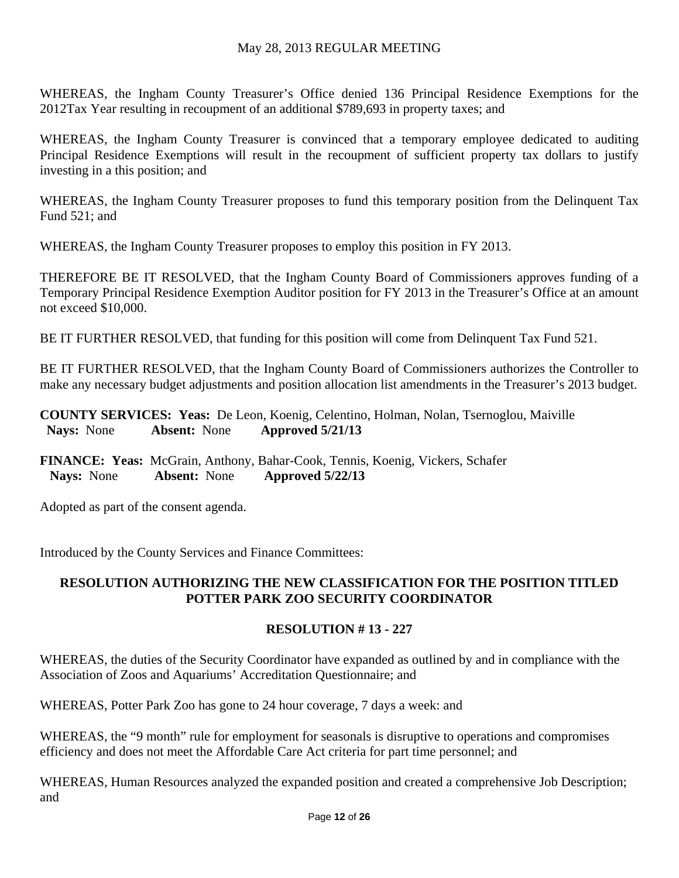WHEREAS, the Ingham County Treasurer's Office denied 136 Principal Residence Exemptions for the 2012Tax Year resulting in recoupment of an additional \$789,693 in property taxes; and

WHEREAS, the Ingham County Treasurer is convinced that a temporary employee dedicated to auditing Principal Residence Exemptions will result in the recoupment of sufficient property tax dollars to justify investing in a this position; and

WHEREAS, the Ingham County Treasurer proposes to fund this temporary position from the Delinquent Tax Fund 521; and

WHEREAS, the Ingham County Treasurer proposes to employ this position in FY 2013.

THEREFORE BE IT RESOLVED, that the Ingham County Board of Commissioners approves funding of a Temporary Principal Residence Exemption Auditor position for FY 2013 in the Treasurer's Office at an amount not exceed \$10,000.

BE IT FURTHER RESOLVED, that funding for this position will come from Delinquent Tax Fund 521.

BE IT FURTHER RESOLVED, that the Ingham County Board of Commissioners authorizes the Controller to make any necessary budget adjustments and position allocation list amendments in the Treasurer's 2013 budget.

**COUNTY SERVICES: Yeas:** De Leon, Koenig, Celentino, Holman, Nolan, Tsernoglou, Maiville  **Nays:** None **Absent:** None **Approved 5/21/13** 

**FINANCE: Yeas:** McGrain, Anthony, Bahar-Cook, Tennis, Koenig, Vickers, Schafer  **Nays:** None **Absent:** None **Approved 5/22/13** 

Adopted as part of the consent agenda.

Introduced by the County Services and Finance Committees:

#### **RESOLUTION AUTHORIZING THE NEW CLASSIFICATION FOR THE POSITION TITLED POTTER PARK ZOO SECURITY COORDINATOR**

## **RESOLUTION # 13 - 227**

WHEREAS, the duties of the Security Coordinator have expanded as outlined by and in compliance with the Association of Zoos and Aquariums' Accreditation Questionnaire; and

WHEREAS, Potter Park Zoo has gone to 24 hour coverage, 7 days a week: and

WHEREAS, the "9 month" rule for employment for seasonals is disruptive to operations and compromises efficiency and does not meet the Affordable Care Act criteria for part time personnel; and

WHEREAS, Human Resources analyzed the expanded position and created a comprehensive Job Description; and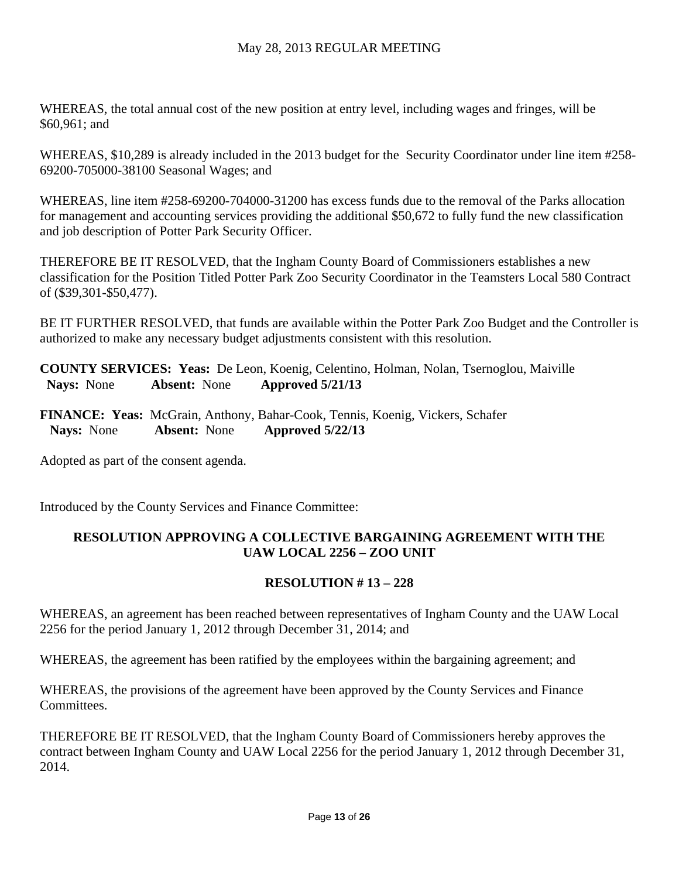WHEREAS, the total annual cost of the new position at entry level, including wages and fringes, will be \$60,961; and

WHEREAS, \$10,289 is already included in the 2013 budget for the Security Coordinator under line item #258- 69200-705000-38100 Seasonal Wages; and

WHEREAS, line item #258-69200-704000-31200 has excess funds due to the removal of the Parks allocation for management and accounting services providing the additional \$50,672 to fully fund the new classification and job description of Potter Park Security Officer.

THEREFORE BE IT RESOLVED, that the Ingham County Board of Commissioners establishes a new classification for the Position Titled Potter Park Zoo Security Coordinator in the Teamsters Local 580 Contract of (\$39,301-\$50,477).

BE IT FURTHER RESOLVED, that funds are available within the Potter Park Zoo Budget and the Controller is authorized to make any necessary budget adjustments consistent with this resolution.

**COUNTY SERVICES: Yeas:** De Leon, Koenig, Celentino, Holman, Nolan, Tsernoglou, Maiville  **Nays:** None **Absent:** None **Approved 5/21/13** 

**FINANCE: Yeas:** McGrain, Anthony, Bahar-Cook, Tennis, Koenig, Vickers, Schafer  **Nays:** None **Absent:** None **Approved 5/22/13** 

Adopted as part of the consent agenda.

Introduced by the County Services and Finance Committee:

## **RESOLUTION APPROVING A COLLECTIVE BARGAINING AGREEMENT WITH THE UAW LOCAL 2256 – ZOO UNIT**

## **RESOLUTION # 13 – 228**

WHEREAS, an agreement has been reached between representatives of Ingham County and the UAW Local 2256 for the period January 1, 2012 through December 31, 2014; and

WHEREAS, the agreement has been ratified by the employees within the bargaining agreement; and

WHEREAS, the provisions of the agreement have been approved by the County Services and Finance Committees.

THEREFORE BE IT RESOLVED, that the Ingham County Board of Commissioners hereby approves the contract between Ingham County and UAW Local 2256 for the period January 1, 2012 through December 31, 2014.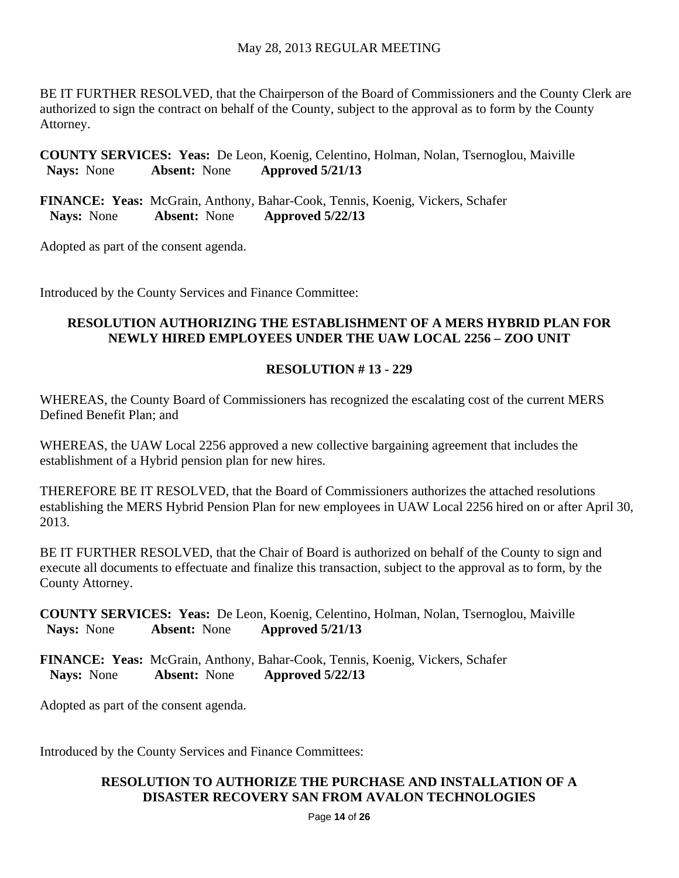BE IT FURTHER RESOLVED, that the Chairperson of the Board of Commissioners and the County Clerk are authorized to sign the contract on behalf of the County, subject to the approval as to form by the County Attorney.

**COUNTY SERVICES: Yeas:** De Leon, Koenig, Celentino, Holman, Nolan, Tsernoglou, Maiville  **Nays:** None **Absent:** None **Approved 5/21/13** 

**FINANCE: Yeas:** McGrain, Anthony, Bahar-Cook, Tennis, Koenig, Vickers, Schafer  **Nays:** None **Absent:** None **Approved 5/22/13** 

Adopted as part of the consent agenda.

Introduced by the County Services and Finance Committee:

## **RESOLUTION AUTHORIZING THE ESTABLISHMENT OF A MERS HYBRID PLAN FOR NEWLY HIRED EMPLOYEES UNDER THE UAW LOCAL 2256 – ZOO UNIT**

# **RESOLUTION # 13 - 229**

WHEREAS, the County Board of Commissioners has recognized the escalating cost of the current MERS Defined Benefit Plan; and

WHEREAS, the UAW Local 2256 approved a new collective bargaining agreement that includes the establishment of a Hybrid pension plan for new hires.

THEREFORE BE IT RESOLVED, that the Board of Commissioners authorizes the attached resolutions establishing the MERS Hybrid Pension Plan for new employees in UAW Local 2256 hired on or after April 30, 2013.

BE IT FURTHER RESOLVED, that the Chair of Board is authorized on behalf of the County to sign and execute all documents to effectuate and finalize this transaction, subject to the approval as to form, by the County Attorney.

**COUNTY SERVICES: Yeas:** De Leon, Koenig, Celentino, Holman, Nolan, Tsernoglou, Maiville  **Nays:** None **Absent:** None **Approved 5/21/13** 

**FINANCE: Yeas:** McGrain, Anthony, Bahar-Cook, Tennis, Koenig, Vickers, Schafer  **Nays:** None **Absent:** None **Approved 5/22/13** 

Adopted as part of the consent agenda.

Introduced by the County Services and Finance Committees:

## **RESOLUTION TO AUTHORIZE THE PURCHASE AND INSTALLATION OF A DISASTER RECOVERY SAN FROM AVALON TECHNOLOGIES**

Page **14** of **26**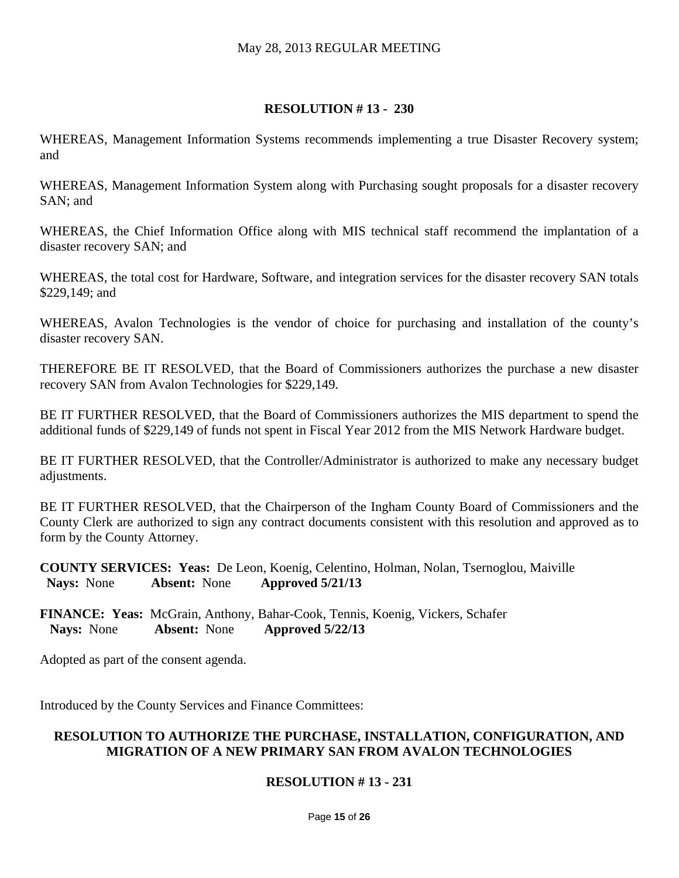#### **RESOLUTION # 13 - 230**

WHEREAS, Management Information Systems recommends implementing a true Disaster Recovery system; and

WHEREAS, Management Information System along with Purchasing sought proposals for a disaster recovery SAN; and

WHEREAS, the Chief Information Office along with MIS technical staff recommend the implantation of a disaster recovery SAN; and

WHEREAS, the total cost for Hardware, Software, and integration services for the disaster recovery SAN totals \$229,149; and

WHEREAS, Avalon Technologies is the vendor of choice for purchasing and installation of the county's disaster recovery SAN.

THEREFORE BE IT RESOLVED, that the Board of Commissioners authorizes the purchase a new disaster recovery SAN from Avalon Technologies for \$229,149.

BE IT FURTHER RESOLVED, that the Board of Commissioners authorizes the MIS department to spend the additional funds of \$229,149 of funds not spent in Fiscal Year 2012 from the MIS Network Hardware budget.

BE IT FURTHER RESOLVED, that the Controller/Administrator is authorized to make any necessary budget adjustments.

BE IT FURTHER RESOLVED, that the Chairperson of the Ingham County Board of Commissioners and the County Clerk are authorized to sign any contract documents consistent with this resolution and approved as to form by the County Attorney.

**COUNTY SERVICES: Yeas:** De Leon, Koenig, Celentino, Holman, Nolan, Tsernoglou, Maiville  **Nays:** None **Absent:** None **Approved 5/21/13** 

**FINANCE: Yeas:** McGrain, Anthony, Bahar-Cook, Tennis, Koenig, Vickers, Schafer  **Nays:** None **Absent:** None **Approved 5/22/13** 

Adopted as part of the consent agenda.

Introduced by the County Services and Finance Committees:

#### **RESOLUTION TO AUTHORIZE THE PURCHASE, INSTALLATION, CONFIGURATION, AND MIGRATION OF A NEW PRIMARY SAN FROM AVALON TECHNOLOGIES**

## **RESOLUTION # 13 - 231**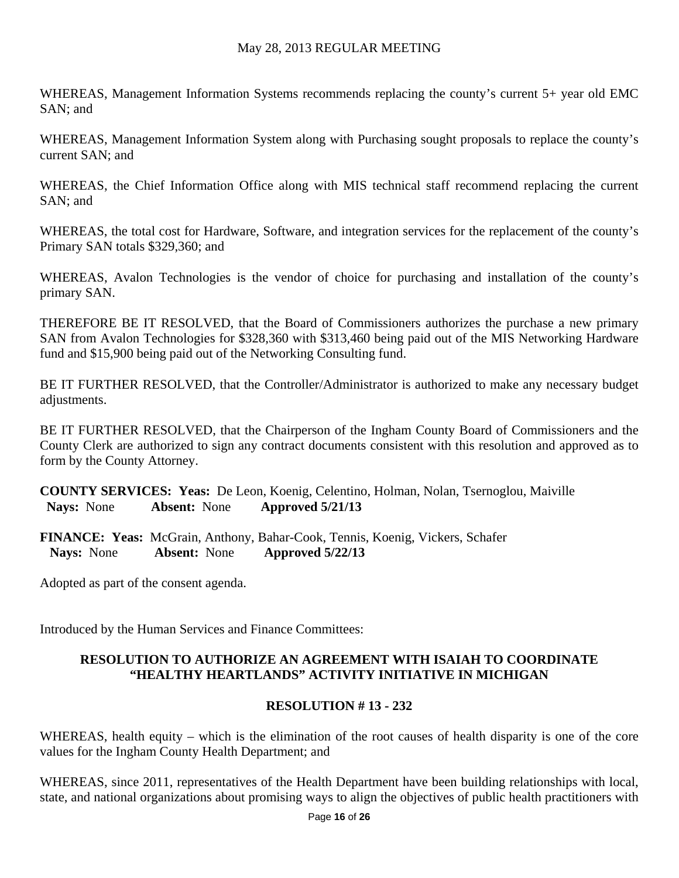WHEREAS, Management Information Systems recommends replacing the county's current 5+ year old EMC SAN; and

WHEREAS, Management Information System along with Purchasing sought proposals to replace the county's current SAN; and

WHEREAS, the Chief Information Office along with MIS technical staff recommend replacing the current SAN; and

WHEREAS, the total cost for Hardware, Software, and integration services for the replacement of the county's Primary SAN totals \$329,360; and

WHEREAS, Avalon Technologies is the vendor of choice for purchasing and installation of the county's primary SAN.

THEREFORE BE IT RESOLVED, that the Board of Commissioners authorizes the purchase a new primary SAN from Avalon Technologies for \$328,360 with \$313,460 being paid out of the MIS Networking Hardware fund and \$15,900 being paid out of the Networking Consulting fund.

BE IT FURTHER RESOLVED, that the Controller/Administrator is authorized to make any necessary budget adjustments.

BE IT FURTHER RESOLVED, that the Chairperson of the Ingham County Board of Commissioners and the County Clerk are authorized to sign any contract documents consistent with this resolution and approved as to form by the County Attorney.

**COUNTY SERVICES: Yeas:** De Leon, Koenig, Celentino, Holman, Nolan, Tsernoglou, Maiville  **Nays:** None **Absent:** None **Approved 5/21/13** 

**FINANCE: Yeas:** McGrain, Anthony, Bahar-Cook, Tennis, Koenig, Vickers, Schafer  **Nays:** None **Absent:** None **Approved 5/22/13** 

Adopted as part of the consent agenda.

Introduced by the Human Services and Finance Committees:

#### **RESOLUTION TO AUTHORIZE AN AGREEMENT WITH ISAIAH TO COORDINATE "HEALTHY HEARTLANDS" ACTIVITY INITIATIVE IN MICHIGAN**

## **RESOLUTION # 13 - 232**

WHEREAS, health equity – which is the elimination of the root causes of health disparity is one of the core values for the Ingham County Health Department; and

WHEREAS, since 2011, representatives of the Health Department have been building relationships with local, state, and national organizations about promising ways to align the objectives of public health practitioners with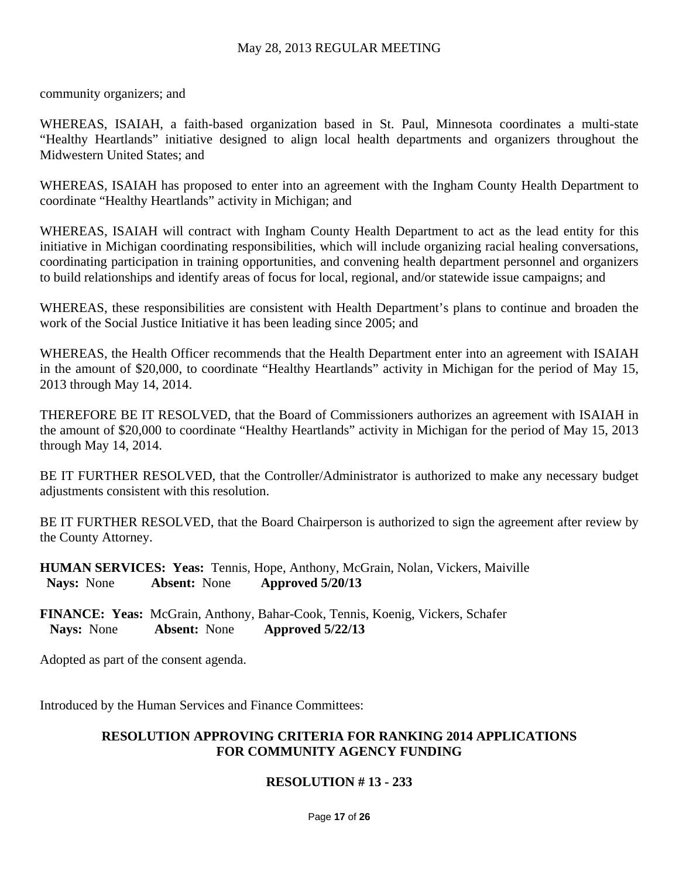community organizers; and

WHEREAS, ISAIAH, a faith-based organization based in St. Paul, Minnesota coordinates a multi-state "Healthy Heartlands" initiative designed to align local health departments and organizers throughout the Midwestern United States; and

WHEREAS, ISAIAH has proposed to enter into an agreement with the Ingham County Health Department to coordinate "Healthy Heartlands" activity in Michigan; and

WHEREAS, ISAIAH will contract with Ingham County Health Department to act as the lead entity for this initiative in Michigan coordinating responsibilities, which will include organizing racial healing conversations, coordinating participation in training opportunities, and convening health department personnel and organizers to build relationships and identify areas of focus for local, regional, and/or statewide issue campaigns; and

WHEREAS, these responsibilities are consistent with Health Department's plans to continue and broaden the work of the Social Justice Initiative it has been leading since 2005; and

WHEREAS, the Health Officer recommends that the Health Department enter into an agreement with ISAIAH in the amount of \$20,000, to coordinate "Healthy Heartlands" activity in Michigan for the period of May 15, 2013 through May 14, 2014.

THEREFORE BE IT RESOLVED, that the Board of Commissioners authorizes an agreement with ISAIAH in the amount of \$20,000 to coordinate "Healthy Heartlands" activity in Michigan for the period of May 15, 2013 through May 14, 2014.

BE IT FURTHER RESOLVED, that the Controller/Administrator is authorized to make any necessary budget adjustments consistent with this resolution.

BE IT FURTHER RESOLVED, that the Board Chairperson is authorized to sign the agreement after review by the County Attorney.

**HUMAN SERVICES: Yeas:** Tennis, Hope, Anthony, McGrain, Nolan, Vickers, Maiville  **Nays:** None **Absent:** None **Approved 5/20/13** 

**FINANCE: Yeas:** McGrain, Anthony, Bahar-Cook, Tennis, Koenig, Vickers, Schafer  **Nays:** None **Absent:** None **Approved 5/22/13** 

Adopted as part of the consent agenda.

Introduced by the Human Services and Finance Committees:

#### **RESOLUTION APPROVING CRITERIA FOR RANKING 2014 APPLICATIONS FOR COMMUNITY AGENCY FUNDING**

#### **RESOLUTION # 13 - 233**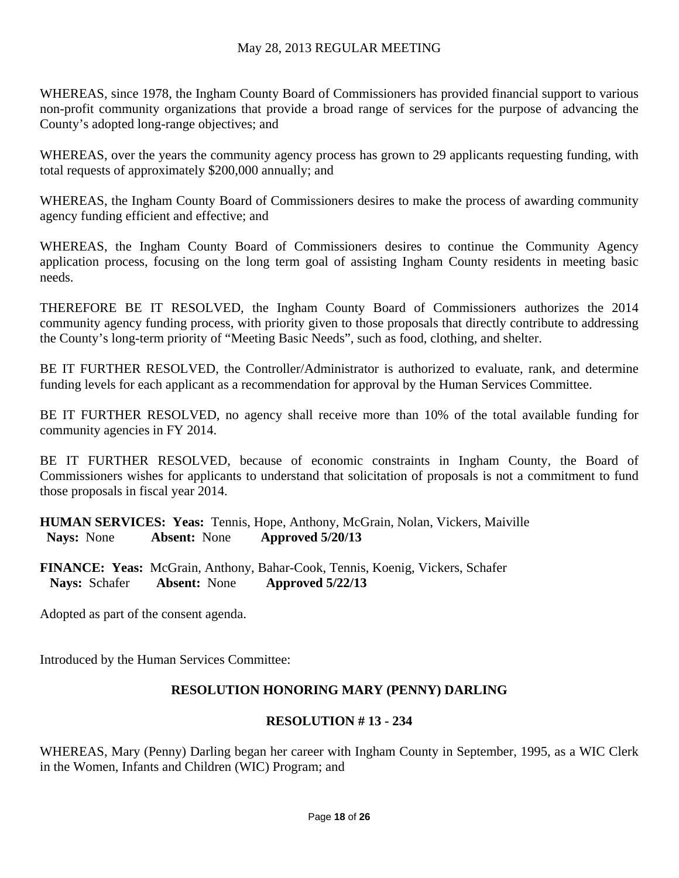WHEREAS, since 1978, the Ingham County Board of Commissioners has provided financial support to various non-profit community organizations that provide a broad range of services for the purpose of advancing the County's adopted long-range objectives; and

WHEREAS, over the years the community agency process has grown to 29 applicants requesting funding, with total requests of approximately \$200,000 annually; and

WHEREAS, the Ingham County Board of Commissioners desires to make the process of awarding community agency funding efficient and effective; and

WHEREAS, the Ingham County Board of Commissioners desires to continue the Community Agency application process, focusing on the long term goal of assisting Ingham County residents in meeting basic needs.

THEREFORE BE IT RESOLVED, the Ingham County Board of Commissioners authorizes the 2014 community agency funding process, with priority given to those proposals that directly contribute to addressing the County's long-term priority of "Meeting Basic Needs", such as food, clothing, and shelter.

BE IT FURTHER RESOLVED, the Controller/Administrator is authorized to evaluate, rank, and determine funding levels for each applicant as a recommendation for approval by the Human Services Committee.

BE IT FURTHER RESOLVED, no agency shall receive more than 10% of the total available funding for community agencies in FY 2014.

BE IT FURTHER RESOLVED, because of economic constraints in Ingham County, the Board of Commissioners wishes for applicants to understand that solicitation of proposals is not a commitment to fund those proposals in fiscal year 2014.

**HUMAN SERVICES: Yeas:** Tennis, Hope, Anthony, McGrain, Nolan, Vickers, Maiville  **Nays:** None **Absent:** None **Approved 5/20/13** 

**FINANCE: Yeas:** McGrain, Anthony, Bahar-Cook, Tennis, Koenig, Vickers, Schafer  **Nays:** Schafer **Absent:** None **Approved 5/22/13** 

Adopted as part of the consent agenda.

Introduced by the Human Services Committee:

## **RESOLUTION HONORING MARY (PENNY) DARLING**

#### **RESOLUTION # 13 - 234**

WHEREAS, Mary (Penny) Darling began her career with Ingham County in September, 1995, as a WIC Clerk in the Women, Infants and Children (WIC) Program; and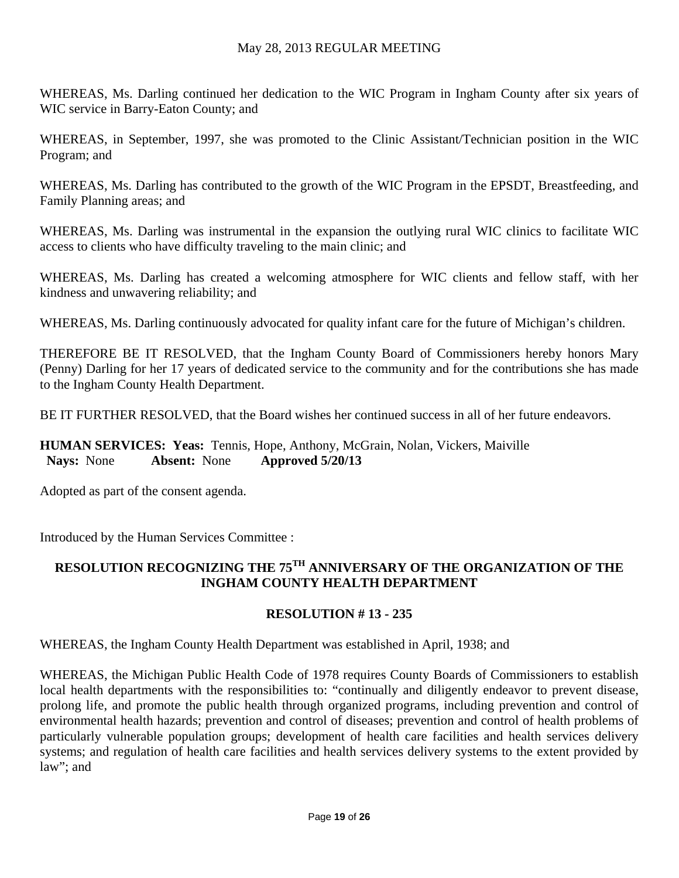WHEREAS, Ms. Darling continued her dedication to the WIC Program in Ingham County after six years of WIC service in Barry-Eaton County; and

WHEREAS, in September, 1997, she was promoted to the Clinic Assistant/Technician position in the WIC Program; and

WHEREAS, Ms. Darling has contributed to the growth of the WIC Program in the EPSDT, Breastfeeding, and Family Planning areas; and

WHEREAS, Ms. Darling was instrumental in the expansion the outlying rural WIC clinics to facilitate WIC access to clients who have difficulty traveling to the main clinic; and

WHEREAS, Ms. Darling has created a welcoming atmosphere for WIC clients and fellow staff, with her kindness and unwavering reliability; and

WHEREAS, Ms. Darling continuously advocated for quality infant care for the future of Michigan's children.

THEREFORE BE IT RESOLVED, that the Ingham County Board of Commissioners hereby honors Mary (Penny) Darling for her 17 years of dedicated service to the community and for the contributions she has made to the Ingham County Health Department.

BE IT FURTHER RESOLVED, that the Board wishes her continued success in all of her future endeavors.

**HUMAN SERVICES: Yeas:** Tennis, Hope, Anthony, McGrain, Nolan, Vickers, Maiville  **Nays:** None **Absent:** None **Approved 5/20/13** 

Adopted as part of the consent agenda.

Introduced by the Human Services Committee :

# **RESOLUTION RECOGNIZING THE 75TH ANNIVERSARY OF THE ORGANIZATION OF THE INGHAM COUNTY HEALTH DEPARTMENT**

# **RESOLUTION # 13 - 235**

WHEREAS, the Ingham County Health Department was established in April, 1938; and

WHEREAS, the Michigan Public Health Code of 1978 requires County Boards of Commissioners to establish local health departments with the responsibilities to: "continually and diligently endeavor to prevent disease, prolong life, and promote the public health through organized programs, including prevention and control of environmental health hazards; prevention and control of diseases; prevention and control of health problems of particularly vulnerable population groups; development of health care facilities and health services delivery systems; and regulation of health care facilities and health services delivery systems to the extent provided by law"; and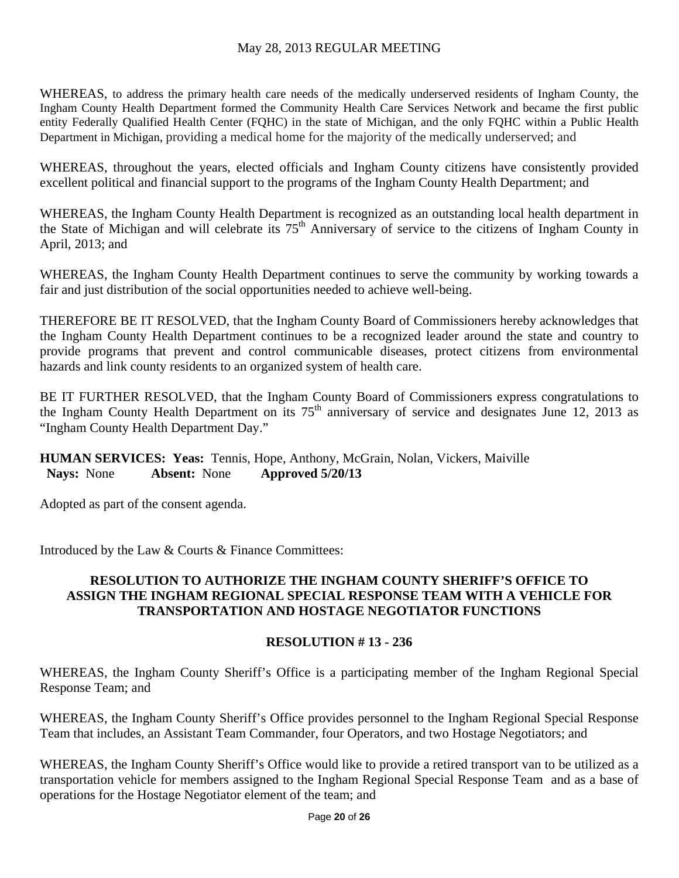WHEREAS, to address the primary health care needs of the medically underserved residents of Ingham County, the Ingham County Health Department formed the Community Health Care Services Network and became the first public entity Federally Qualified Health Center (FQHC) in the state of Michigan, and the only FQHC within a Public Health Department in Michigan, providing a medical home for the majority of the medically underserved; and

WHEREAS, throughout the years, elected officials and Ingham County citizens have consistently provided excellent political and financial support to the programs of the Ingham County Health Department; and

WHEREAS, the Ingham County Health Department is recognized as an outstanding local health department in the State of Michigan and will celebrate its 75<sup>th</sup> Anniversary of service to the citizens of Ingham County in April, 2013; and

WHEREAS, the Ingham County Health Department continues to serve the community by working towards a fair and just distribution of the social opportunities needed to achieve well-being.

THEREFORE BE IT RESOLVED, that the Ingham County Board of Commissioners hereby acknowledges that the Ingham County Health Department continues to be a recognized leader around the state and country to provide programs that prevent and control communicable diseases, protect citizens from environmental hazards and link county residents to an organized system of health care.

BE IT FURTHER RESOLVED, that the Ingham County Board of Commissioners express congratulations to the Ingham County Health Department on its  $75<sup>th</sup>$  anniversary of service and designates June 12, 2013 as "Ingham County Health Department Day."

## **HUMAN SERVICES: Yeas:** Tennis, Hope, Anthony, McGrain, Nolan, Vickers, Maiville  **Nays:** None **Absent:** None **Approved 5/20/13**

Adopted as part of the consent agenda.

Introduced by the Law & Courts & Finance Committees:

## **RESOLUTION TO AUTHORIZE THE INGHAM COUNTY SHERIFF'S OFFICE TO ASSIGN THE INGHAM REGIONAL SPECIAL RESPONSE TEAM WITH A VEHICLE FOR TRANSPORTATION AND HOSTAGE NEGOTIATOR FUNCTIONS**

## **RESOLUTION # 13 - 236**

WHEREAS, the Ingham County Sheriff's Office is a participating member of the Ingham Regional Special Response Team; and

WHEREAS, the Ingham County Sheriff's Office provides personnel to the Ingham Regional Special Response Team that includes, an Assistant Team Commander, four Operators, and two Hostage Negotiators; and

WHEREAS, the Ingham County Sheriff's Office would like to provide a retired transport van to be utilized as a transportation vehicle for members assigned to the Ingham Regional Special Response Team and as a base of operations for the Hostage Negotiator element of the team; and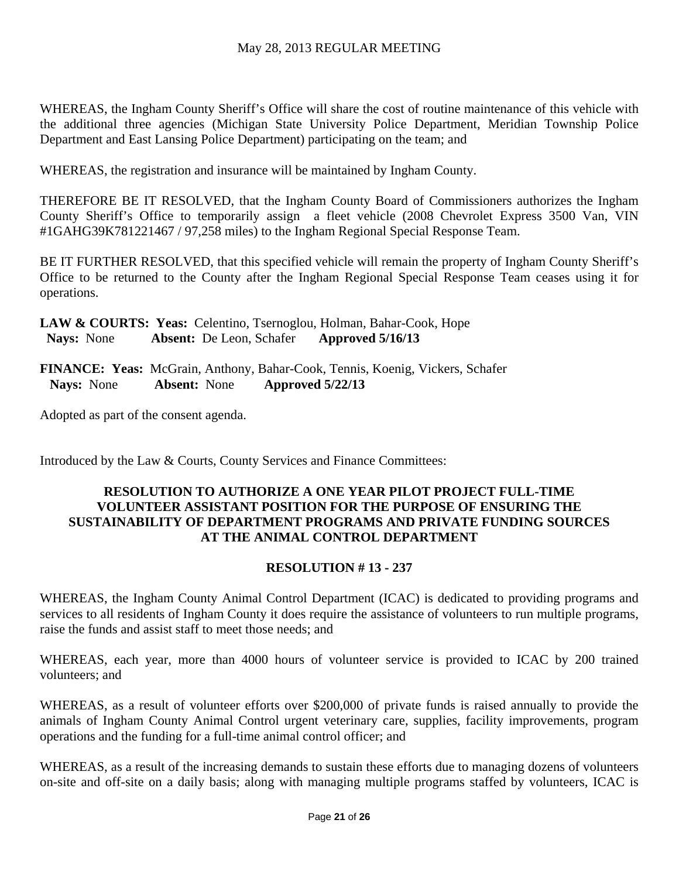WHEREAS, the Ingham County Sheriff's Office will share the cost of routine maintenance of this vehicle with the additional three agencies (Michigan State University Police Department, Meridian Township Police Department and East Lansing Police Department) participating on the team; and

WHEREAS, the registration and insurance will be maintained by Ingham County.

THEREFORE BE IT RESOLVED, that the Ingham County Board of Commissioners authorizes the Ingham County Sheriff's Office to temporarily assign a fleet vehicle (2008 Chevrolet Express 3500 Van, VIN #1GAHG39K781221467 / 97,258 miles) to the Ingham Regional Special Response Team.

BE IT FURTHER RESOLVED, that this specified vehicle will remain the property of Ingham County Sheriff's Office to be returned to the County after the Ingham Regional Special Response Team ceases using it for operations.

**LAW & COURTS: Yeas:** Celentino, Tsernoglou, Holman, Bahar-Cook, Hope  **Nays:** None **Absent:** De Leon, Schafer **Approved 5/16/13** 

**FINANCE: Yeas:** McGrain, Anthony, Bahar-Cook, Tennis, Koenig, Vickers, Schafer  **Nays:** None **Absent:** None **Approved 5/22/13** 

Adopted as part of the consent agenda.

Introduced by the Law & Courts, County Services and Finance Committees:

## **RESOLUTION TO AUTHORIZE A ONE YEAR PILOT PROJECT FULL-TIME VOLUNTEER ASSISTANT POSITION FOR THE PURPOSE OF ENSURING THE SUSTAINABILITY OF DEPARTMENT PROGRAMS AND PRIVATE FUNDING SOURCES AT THE ANIMAL CONTROL DEPARTMENT**

## **RESOLUTION # 13 - 237**

WHEREAS, the Ingham County Animal Control Department (ICAC) is dedicated to providing programs and services to all residents of Ingham County it does require the assistance of volunteers to run multiple programs, raise the funds and assist staff to meet those needs; and

WHEREAS, each year, more than 4000 hours of volunteer service is provided to ICAC by 200 trained volunteers; and

WHEREAS, as a result of volunteer efforts over \$200,000 of private funds is raised annually to provide the animals of Ingham County Animal Control urgent veterinary care, supplies, facility improvements, program operations and the funding for a full-time animal control officer; and

WHEREAS, as a result of the increasing demands to sustain these efforts due to managing dozens of volunteers on-site and off-site on a daily basis; along with managing multiple programs staffed by volunteers, ICAC is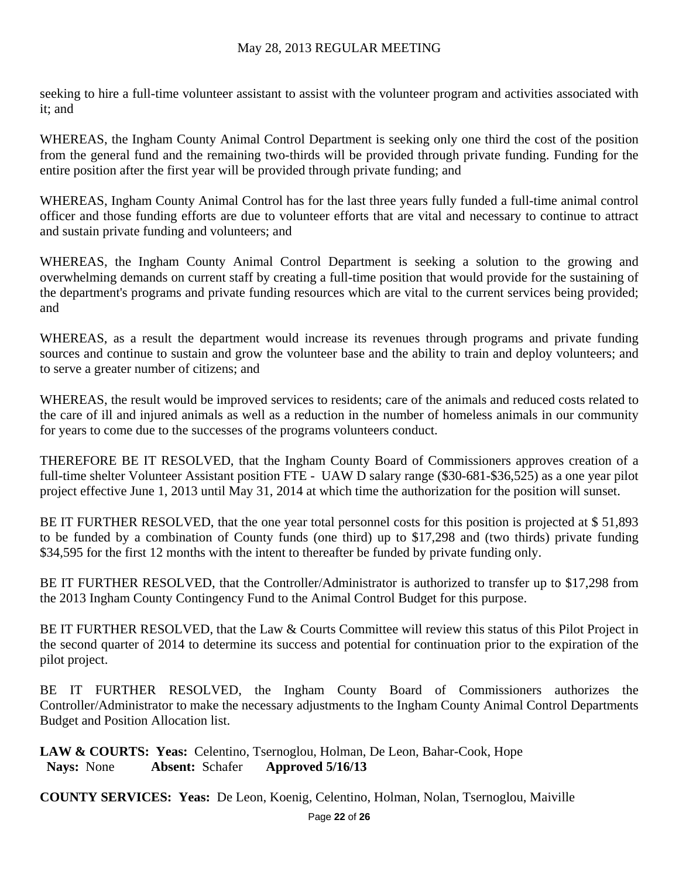seeking to hire a full-time volunteer assistant to assist with the volunteer program and activities associated with it; and

WHEREAS, the Ingham County Animal Control Department is seeking only one third the cost of the position from the general fund and the remaining two-thirds will be provided through private funding. Funding for the entire position after the first year will be provided through private funding; and

WHEREAS, Ingham County Animal Control has for the last three years fully funded a full-time animal control officer and those funding efforts are due to volunteer efforts that are vital and necessary to continue to attract and sustain private funding and volunteers; and

WHEREAS, the Ingham County Animal Control Department is seeking a solution to the growing and overwhelming demands on current staff by creating a full-time position that would provide for the sustaining of the department's programs and private funding resources which are vital to the current services being provided; and

WHEREAS, as a result the department would increase its revenues through programs and private funding sources and continue to sustain and grow the volunteer base and the ability to train and deploy volunteers; and to serve a greater number of citizens; and

WHEREAS, the result would be improved services to residents; care of the animals and reduced costs related to the care of ill and injured animals as well as a reduction in the number of homeless animals in our community for years to come due to the successes of the programs volunteers conduct.

THEREFORE BE IT RESOLVED, that the Ingham County Board of Commissioners approves creation of a full-time shelter Volunteer Assistant position FTE - UAW D salary range (\$30-681-\$36,525) as a one year pilot project effective June 1, 2013 until May 31, 2014 at which time the authorization for the position will sunset.

BE IT FURTHER RESOLVED, that the one year total personnel costs for this position is projected at \$51,893 to be funded by a combination of County funds (one third) up to \$17,298 and (two thirds) private funding \$34,595 for the first 12 months with the intent to thereafter be funded by private funding only.

BE IT FURTHER RESOLVED, that the Controller/Administrator is authorized to transfer up to \$17,298 from the 2013 Ingham County Contingency Fund to the Animal Control Budget for this purpose.

BE IT FURTHER RESOLVED, that the Law & Courts Committee will review this status of this Pilot Project in the second quarter of 2014 to determine its success and potential for continuation prior to the expiration of the pilot project.

BE IT FURTHER RESOLVED, the Ingham County Board of Commissioners authorizes the Controller/Administrator to make the necessary adjustments to the Ingham County Animal Control Departments Budget and Position Allocation list.

**LAW & COURTS: Yeas:** Celentino, Tsernoglou, Holman, De Leon, Bahar-Cook, Hope  **Nays:** None **Absent:** Schafer **Approved 5/16/13** 

**COUNTY SERVICES: Yeas:** De Leon, Koenig, Celentino, Holman, Nolan, Tsernoglou, Maiville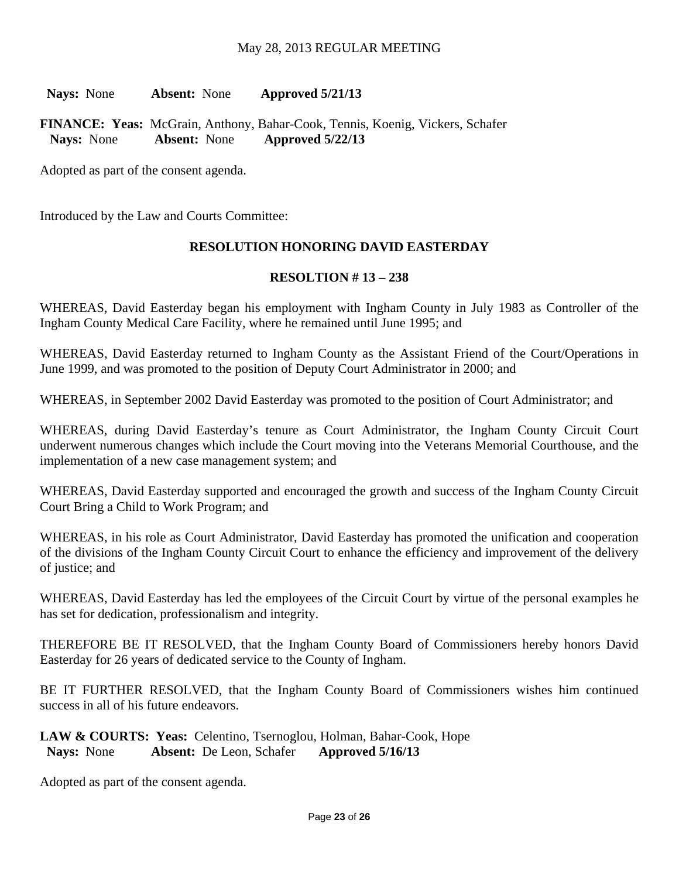**Nays:** None **Absent:** None **Approved 5/21/13** 

**FINANCE: Yeas:** McGrain, Anthony, Bahar-Cook, Tennis, Koenig, Vickers, Schafer  **Nays:** None **Absent:** None **Approved 5/22/13** 

Adopted as part of the consent agenda.

Introduced by the Law and Courts Committee:

#### **RESOLUTION HONORING DAVID EASTERDAY**

#### **RESOLTION # 13 – 238**

WHEREAS, David Easterday began his employment with Ingham County in July 1983 as Controller of the Ingham County Medical Care Facility, where he remained until June 1995; and

WHEREAS, David Easterday returned to Ingham County as the Assistant Friend of the Court/Operations in June 1999, and was promoted to the position of Deputy Court Administrator in 2000; and

WHEREAS, in September 2002 David Easterday was promoted to the position of Court Administrator; and

WHEREAS, during David Easterday's tenure as Court Administrator, the Ingham County Circuit Court underwent numerous changes which include the Court moving into the Veterans Memorial Courthouse, and the implementation of a new case management system; and

WHEREAS, David Easterday supported and encouraged the growth and success of the Ingham County Circuit Court Bring a Child to Work Program; and

WHEREAS, in his role as Court Administrator, David Easterday has promoted the unification and cooperation of the divisions of the Ingham County Circuit Court to enhance the efficiency and improvement of the delivery of justice; and

WHEREAS, David Easterday has led the employees of the Circuit Court by virtue of the personal examples he has set for dedication, professionalism and integrity.

THEREFORE BE IT RESOLVED, that the Ingham County Board of Commissioners hereby honors David Easterday for 26 years of dedicated service to the County of Ingham.

BE IT FURTHER RESOLVED, that the Ingham County Board of Commissioners wishes him continued success in all of his future endeavors.

**LAW & COURTS: Yeas:** Celentino, Tsernoglou, Holman, Bahar-Cook, Hope  **Nays:** None **Absent:** De Leon, Schafer **Approved 5/16/13** 

Adopted as part of the consent agenda.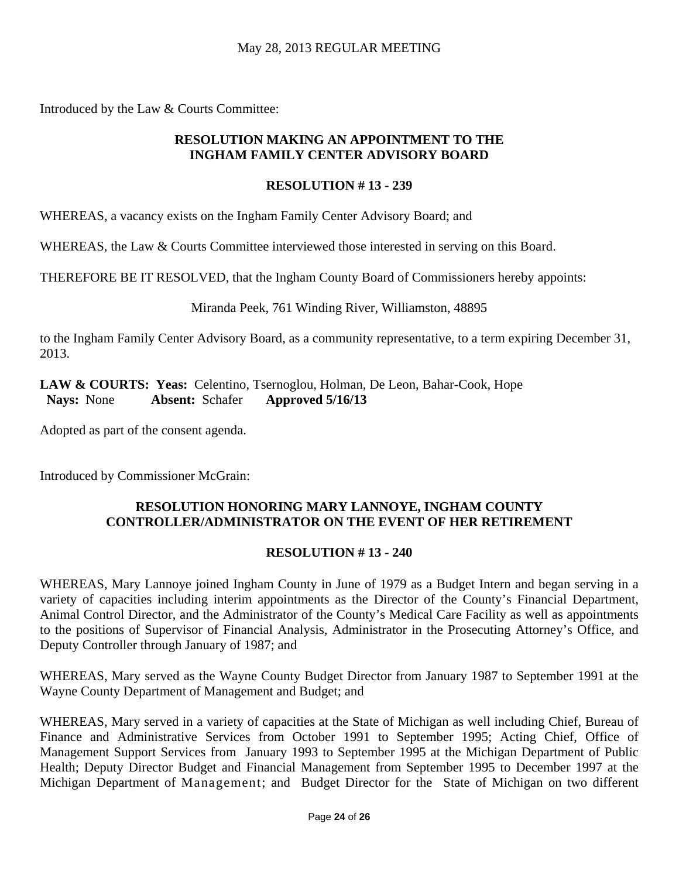Introduced by the Law & Courts Committee:

## **RESOLUTION MAKING AN APPOINTMENT TO THE INGHAM FAMILY CENTER ADVISORY BOARD**

## **RESOLUTION # 13 - 239**

WHEREAS, a vacancy exists on the Ingham Family Center Advisory Board; and

WHEREAS, the Law & Courts Committee interviewed those interested in serving on this Board.

THEREFORE BE IT RESOLVED, that the Ingham County Board of Commissioners hereby appoints:

Miranda Peek, 761 Winding River, Williamston, 48895

to the Ingham Family Center Advisory Board, as a community representative, to a term expiring December 31, 2013.

**LAW & COURTS: Yeas:** Celentino, Tsernoglou, Holman, De Leon, Bahar-Cook, Hope  **Nays:** None **Absent:** Schafer **Approved 5/16/13** 

Adopted as part of the consent agenda.

Introduced by Commissioner McGrain:

# **RESOLUTION HONORING MARY LANNOYE, INGHAM COUNTY CONTROLLER/ADMINISTRATOR ON THE EVENT OF HER RETIREMENT**

# **RESOLUTION # 13 - 240**

WHEREAS, Mary Lannoye joined Ingham County in June of 1979 as a Budget Intern and began serving in a variety of capacities including interim appointments as the Director of the County's Financial Department, Animal Control Director, and the Administrator of the County's Medical Care Facility as well as appointments to the positions of Supervisor of Financial Analysis, Administrator in the Prosecuting Attorney's Office, and Deputy Controller through January of 1987; and

WHEREAS, Mary served as the Wayne County Budget Director from January 1987 to September 1991 at the Wayne County Department of Management and Budget; and

WHEREAS, Mary served in a variety of capacities at the State of Michigan as well including Chief, Bureau of Finance and Administrative Services from October 1991 to September 1995; Acting Chief, Office of Management Support Services from January 1993 to September 1995 at the Michigan Department of Public Health; Deputy Director Budget and Financial Management from September 1995 to December 1997 at the Michigan Department of Management; and Budget Director for the State of Michigan on two different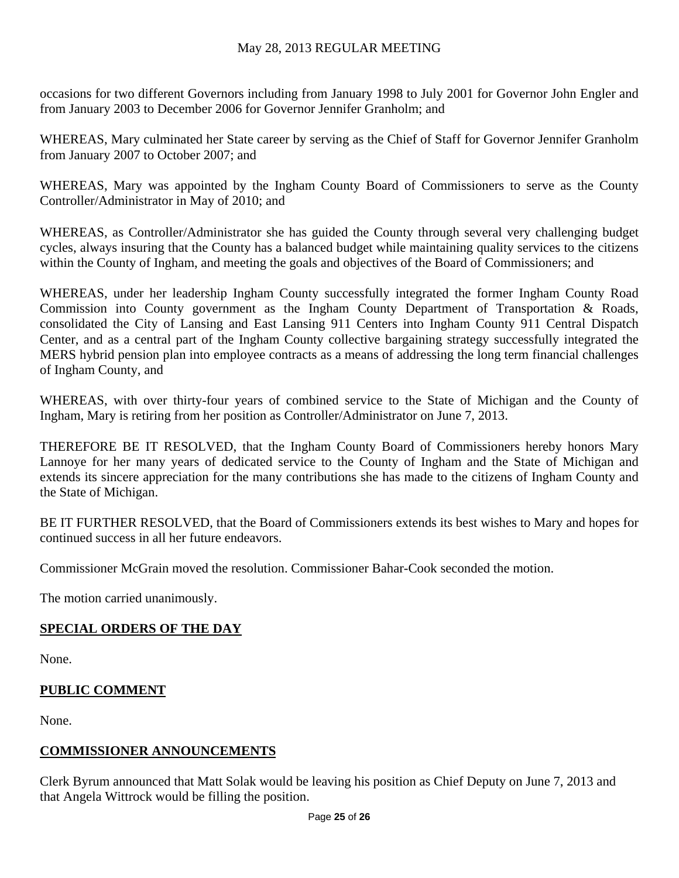occasions for two different Governors including from January 1998 to July 2001 for Governor John Engler and from January 2003 to December 2006 for Governor Jennifer Granholm; and

WHEREAS, Mary culminated her State career by serving as the Chief of Staff for Governor Jennifer Granholm from January 2007 to October 2007; and

WHEREAS, Mary was appointed by the Ingham County Board of Commissioners to serve as the County Controller/Administrator in May of 2010; and

WHEREAS, as Controller/Administrator she has guided the County through several very challenging budget cycles, always insuring that the County has a balanced budget while maintaining quality services to the citizens within the County of Ingham, and meeting the goals and objectives of the Board of Commissioners; and

WHEREAS, under her leadership Ingham County successfully integrated the former Ingham County Road Commission into County government as the Ingham County Department of Transportation & Roads, consolidated the City of Lansing and East Lansing 911 Centers into Ingham County 911 Central Dispatch Center, and as a central part of the Ingham County collective bargaining strategy successfully integrated the MERS hybrid pension plan into employee contracts as a means of addressing the long term financial challenges of Ingham County, and

WHEREAS, with over thirty-four years of combined service to the State of Michigan and the County of Ingham, Mary is retiring from her position as Controller/Administrator on June 7, 2013.

THEREFORE BE IT RESOLVED, that the Ingham County Board of Commissioners hereby honors Mary Lannoye for her many years of dedicated service to the County of Ingham and the State of Michigan and extends its sincere appreciation for the many contributions she has made to the citizens of Ingham County and the State of Michigan.

BE IT FURTHER RESOLVED, that the Board of Commissioners extends its best wishes to Mary and hopes for continued success in all her future endeavors.

Commissioner McGrain moved the resolution. Commissioner Bahar-Cook seconded the motion.

The motion carried unanimously.

## **SPECIAL ORDERS OF THE DAY**

None.

## **PUBLIC COMMENT**

None.

## **COMMISSIONER ANNOUNCEMENTS**

Clerk Byrum announced that Matt Solak would be leaving his position as Chief Deputy on June 7, 2013 and that Angela Wittrock would be filling the position.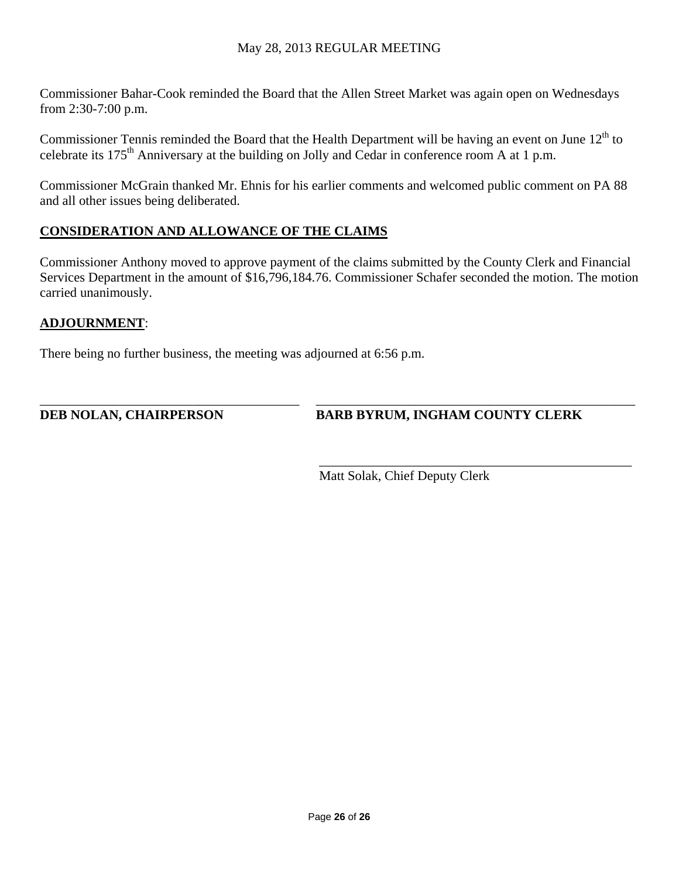Commissioner Bahar-Cook reminded the Board that the Allen Street Market was again open on Wednesdays from 2:30-7:00 p.m.

Commissioner Tennis reminded the Board that the Health Department will be having an event on June  $12<sup>th</sup>$  to celebrate its 175<sup>th</sup> Anniversary at the building on Jolly and Cedar in conference room A at 1 p.m.

Commissioner McGrain thanked Mr. Ehnis for his earlier comments and welcomed public comment on PA 88 and all other issues being deliberated.

# **CONSIDERATION AND ALLOWANCE OF THE CLAIMS**

Commissioner Anthony moved to approve payment of the claims submitted by the County Clerk and Financial Services Department in the amount of \$16,796,184.76. Commissioner Schafer seconded the motion. The motion carried unanimously.

# **ADJOURNMENT**:

There being no further business, the meeting was adjourned at 6:56 p.m.

\_\_\_\_\_\_\_\_\_\_\_\_\_\_\_\_\_\_\_\_\_\_\_\_\_\_\_\_\_\_\_\_\_\_\_\_\_\_\_ \_\_\_\_\_\_\_\_\_\_\_\_\_\_\_\_\_\_\_\_\_\_\_\_\_\_\_\_\_\_\_\_\_\_\_\_\_\_\_\_\_\_\_\_\_\_\_\_ **DEB NOLAN, CHAIRPERSON BARB BYRUM, INGHAM COUNTY CLERK**

 $\overline{\phantom{a}}$  , and the contract of the contract of the contract of the contract of the contract of the contract of the contract of the contract of the contract of the contract of the contract of the contract of the contrac Matt Solak, Chief Deputy Clerk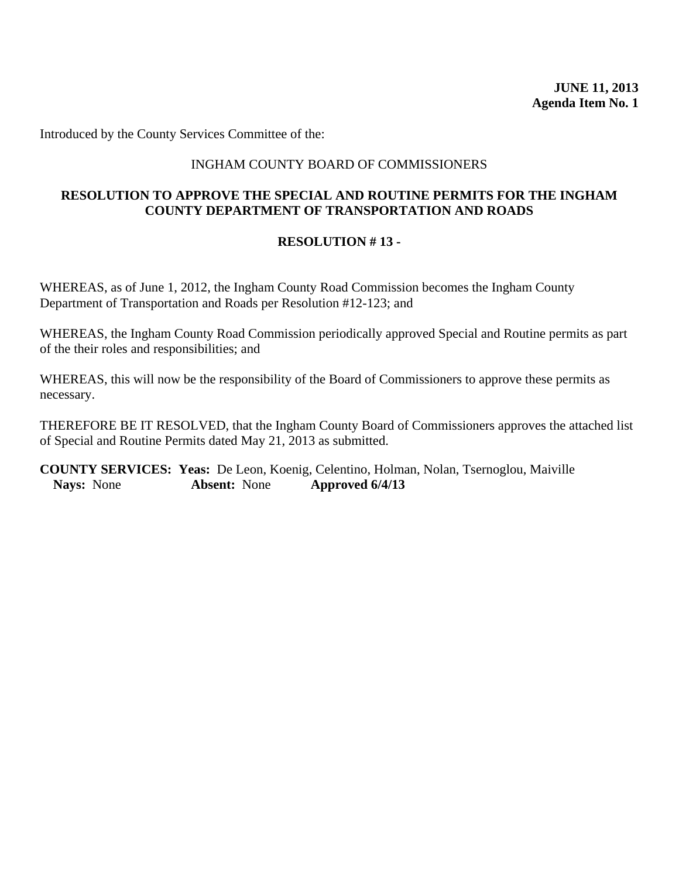<span id="page-28-0"></span>Introduced by the County Services Committee of the:

## INGHAM COUNTY BOARD OF COMMISSIONERS

## **RESOLUTION TO APPROVE THE SPECIAL AND ROUTINE PERMITS FOR THE INGHAM COUNTY DEPARTMENT OF TRANSPORTATION AND ROADS**

#### **RESOLUTION # 13 -**

WHEREAS, as of June 1, 2012, the Ingham County Road Commission becomes the Ingham County Department of Transportation and Roads per Resolution #12-123; and

WHEREAS, the Ingham County Road Commission periodically approved Special and Routine permits as part of the their roles and responsibilities; and

WHEREAS, this will now be the responsibility of the Board of Commissioners to approve these permits as necessary.

THEREFORE BE IT RESOLVED, that the Ingham County Board of Commissioners approves the attached list of Special and Routine Permits dated May 21, 2013 as submitted.

**COUNTY SERVICES: Yeas:** De Leon, Koenig, Celentino, Holman, Nolan, Tsernoglou, Maiville **Nays:** None **Absent:** None **Approved 6/4/13**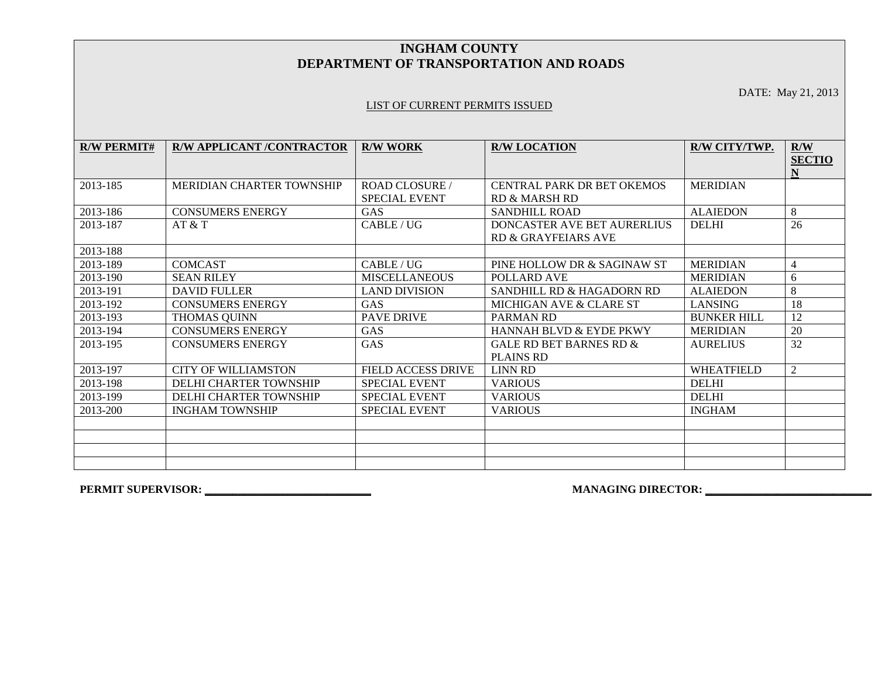#### **INGHAM COUNTY DEPARTMENT OF TRANSPORTATION AND ROADS**

DATE: May 21, 2013

#### LIST OF CURRENT PERMITS ISSUED

| <b>R/W PERMIT#</b> | <b>R/W APPLICANT /CONTRACTOR</b> | <b>R/W WORK</b>       | <b>R/W LOCATION</b>                | R/W CITY/TWP.      | R/W<br><b>SECTIO</b> |
|--------------------|----------------------------------|-----------------------|------------------------------------|--------------------|----------------------|
|                    |                                  |                       |                                    |                    | N                    |
| 2013-185           | <b>MERIDIAN CHARTER TOWNSHIP</b> | <b>ROAD CLOSURE /</b> | <b>CENTRAL PARK DR BET OKEMOS</b>  | <b>MERIDIAN</b>    |                      |
|                    |                                  | <b>SPECIAL EVENT</b>  | <b>RD &amp; MARSH RD</b>           |                    |                      |
| 2013-186           | <b>CONSUMERS ENERGY</b>          | <b>GAS</b>            | <b>SANDHILL ROAD</b>               | <b>ALAIEDON</b>    | 8                    |
| 2013-187           | AT & T                           | CABLE / UG            | DONCASTER AVE BET AURERLIUS        | <b>DELHI</b>       | 26                   |
|                    |                                  |                       | RD & GRAYFEIARS AVE                |                    |                      |
| 2013-188           |                                  |                       |                                    |                    |                      |
| 2013-189           | <b>COMCAST</b>                   | CABLE/UG              | PINE HOLLOW DR & SAGINAW ST        | <b>MERIDIAN</b>    | $\overline{4}$       |
| 2013-190           | <b>SEAN RILEY</b>                | <b>MISCELLANEOUS</b>  | POLLARD AVE                        | <b>MERIDIAN</b>    | 6                    |
| 2013-191           | <b>DAVID FULLER</b>              | <b>LAND DIVISION</b>  | SANDHILL RD & HAGADORN RD          | <b>ALAIEDON</b>    | 8                    |
| 2013-192           | <b>CONSUMERS ENERGY</b>          | <b>GAS</b>            | MICHIGAN AVE & CLARE ST            | <b>LANSING</b>     | 18                   |
| 2013-193           | <b>THOMAS QUINN</b>              | <b>PAVE DRIVE</b>     | <b>PARMAN RD</b>                   | <b>BUNKER HILL</b> | 12                   |
| 2013-194           | <b>CONSUMERS ENERGY</b>          | GAS                   | <b>HANNAH BLVD &amp; EYDE PKWY</b> | <b>MERIDIAN</b>    | 20                   |
| 2013-195           | <b>CONSUMERS ENERGY</b>          | GAS                   | GALE RD BET BARNES RD &            | <b>AURELIUS</b>    | 32                   |
|                    |                                  |                       | <b>PLAINS RD</b>                   |                    |                      |
| 2013-197           | CITY OF WILLIAMSTON              | FIELD ACCESS DRIVE    | <b>LINN RD</b>                     | <b>WHEATFIELD</b>  | 2                    |
| 2013-198           | <b>DELHI CHARTER TOWNSHIP</b>    | <b>SPECIAL EVENT</b>  | <b>VARIOUS</b>                     | <b>DELHI</b>       |                      |
| 2013-199           | <b>DELHI CHARTER TOWNSHIP</b>    | <b>SPECIAL EVENT</b>  | <b>VARIOUS</b>                     | <b>DELHI</b>       |                      |
| 2013-200           | <b>INGHAM TOWNSHIP</b>           | <b>SPECIAL EVENT</b>  | <b>VARIOUS</b>                     | <b>INGHAM</b>      |                      |
|                    |                                  |                       |                                    |                    |                      |
|                    |                                  |                       |                                    |                    |                      |
|                    |                                  |                       |                                    |                    |                      |
|                    |                                  |                       |                                    |                    |                      |

**PERMIT SUPERVISOR: \_\_\_\_\_\_\_\_\_\_\_\_\_\_\_\_\_\_\_\_\_\_\_\_\_\_\_\_\_\_ MANAGING DIRECTOR: \_\_\_\_\_\_\_\_\_\_\_\_\_\_\_\_\_\_\_\_\_\_\_\_\_\_\_\_\_\_**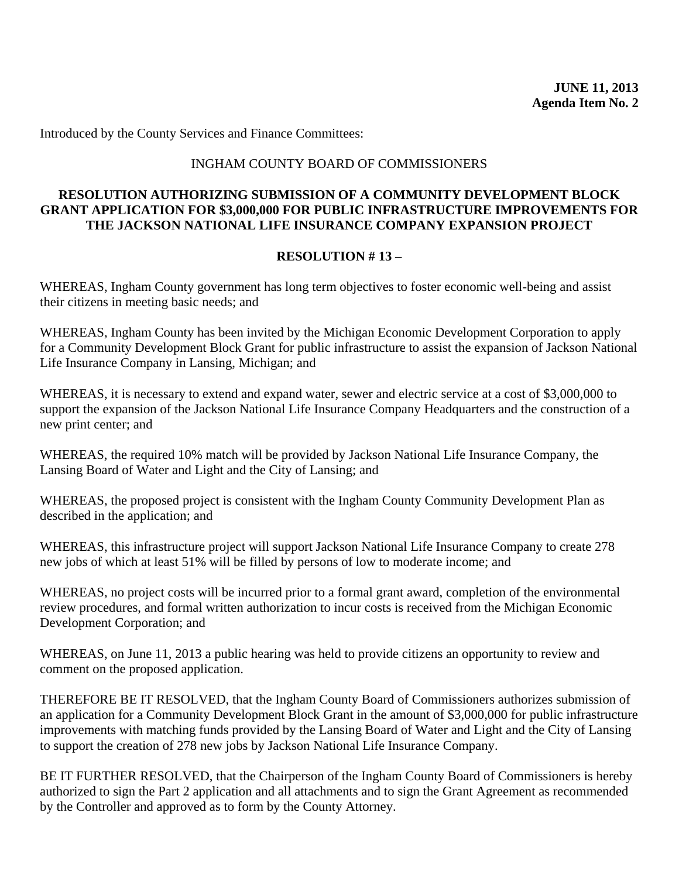<span id="page-30-0"></span>Introduced by the County Services and Finance Committees:

#### INGHAM COUNTY BOARD OF COMMISSIONERS

### **RESOLUTION AUTHORIZING SUBMISSION OF A COMMUNITY DEVELOPMENT BLOCK GRANT APPLICATION FOR \$3,000,000 FOR PUBLIC INFRASTRUCTURE IMPROVEMENTS FOR THE JACKSON NATIONAL LIFE INSURANCE COMPANY EXPANSION PROJECT**

#### **RESOLUTION # 13 –**

WHEREAS, Ingham County government has long term objectives to foster economic well-being and assist their citizens in meeting basic needs; and

WHEREAS, Ingham County has been invited by the Michigan Economic Development Corporation to apply for a Community Development Block Grant for public infrastructure to assist the expansion of Jackson National Life Insurance Company in Lansing, Michigan; and

WHEREAS, it is necessary to extend and expand water, sewer and electric service at a cost of \$3,000,000 to support the expansion of the Jackson National Life Insurance Company Headquarters and the construction of a new print center; and

WHEREAS, the required 10% match will be provided by Jackson National Life Insurance Company, the Lansing Board of Water and Light and the City of Lansing; and

WHEREAS, the proposed project is consistent with the Ingham County Community Development Plan as described in the application; and

WHEREAS, this infrastructure project will support Jackson National Life Insurance Company to create 278 new jobs of which at least 51% will be filled by persons of low to moderate income; and

WHEREAS, no project costs will be incurred prior to a formal grant award, completion of the environmental review procedures, and formal written authorization to incur costs is received from the Michigan Economic Development Corporation; and

WHEREAS, on June 11, 2013 a public hearing was held to provide citizens an opportunity to review and comment on the proposed application.

THEREFORE BE IT RESOLVED, that the Ingham County Board of Commissioners authorizes submission of an application for a Community Development Block Grant in the amount of \$3,000,000 for public infrastructure improvements with matching funds provided by the Lansing Board of Water and Light and the City of Lansing to support the creation of 278 new jobs by Jackson National Life Insurance Company.

BE IT FURTHER RESOLVED, that the Chairperson of the Ingham County Board of Commissioners is hereby authorized to sign the Part 2 application and all attachments and to sign the Grant Agreement as recommended by the Controller and approved as to form by the County Attorney.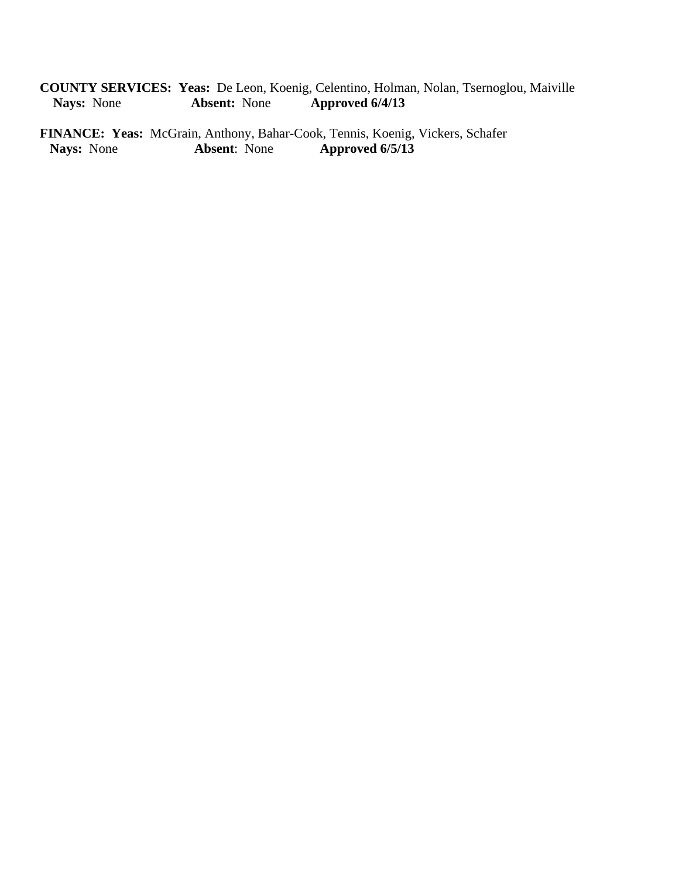**COUNTY SERVICES: Yeas:** De Leon, Koenig, Celentino, Holman, Nolan, Tsernoglou, Maiville **Nays:** None **Absent:** None **Approved 6/4/13** 

**FINANCE: Yeas:** McGrain, Anthony, Bahar-Cook, Tennis, Koenig, Vickers, Schafer<br>Nays: None **Absent**: None **Approved 6/5/13 Nays:** None **Absent**: None **Approved 6/5/13**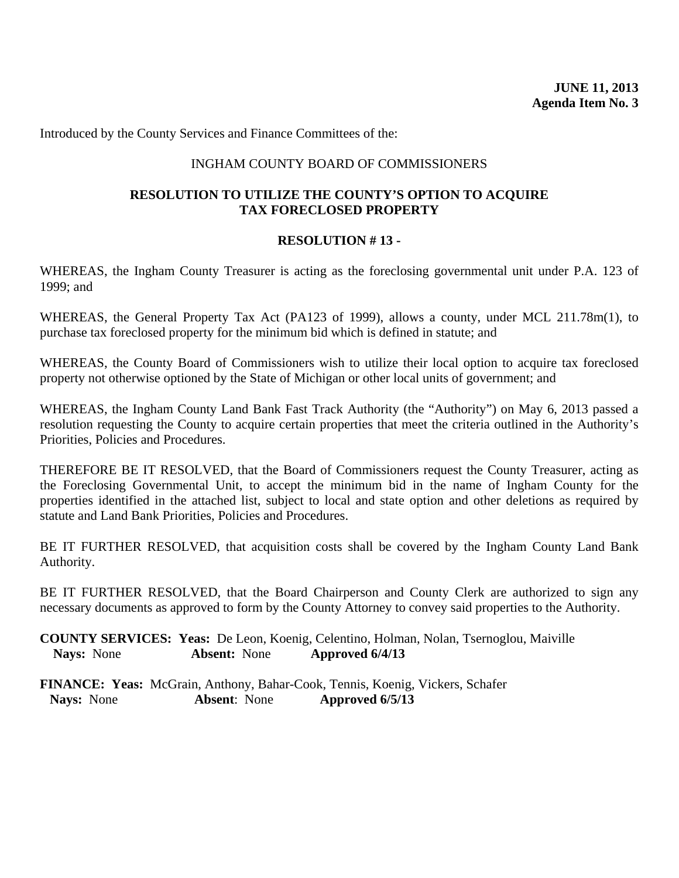<span id="page-32-0"></span>Introduced by the County Services and Finance Committees of the:

#### INGHAM COUNTY BOARD OF COMMISSIONERS

#### **RESOLUTION TO UTILIZE THE COUNTY'S OPTION TO ACQUIRE TAX FORECLOSED PROPERTY**

#### **RESOLUTION # 13 -**

WHEREAS, the Ingham County Treasurer is acting as the foreclosing governmental unit under P.A. 123 of 1999; and

WHEREAS, the General Property Tax Act (PA123 of 1999), allows a county, under MCL 211.78m(1), to purchase tax foreclosed property for the minimum bid which is defined in statute; and

WHEREAS, the County Board of Commissioners wish to utilize their local option to acquire tax foreclosed property not otherwise optioned by the State of Michigan or other local units of government; and

WHEREAS, the Ingham County Land Bank Fast Track Authority (the "Authority") on May 6, 2013 passed a resolution requesting the County to acquire certain properties that meet the criteria outlined in the Authority's Priorities, Policies and Procedures.

THEREFORE BE IT RESOLVED, that the Board of Commissioners request the County Treasurer, acting as the Foreclosing Governmental Unit, to accept the minimum bid in the name of Ingham County for the properties identified in the attached list, subject to local and state option and other deletions as required by statute and Land Bank Priorities, Policies and Procedures.

BE IT FURTHER RESOLVED, that acquisition costs shall be covered by the Ingham County Land Bank Authority.

BE IT FURTHER RESOLVED, that the Board Chairperson and County Clerk are authorized to sign any necessary documents as approved to form by the County Attorney to convey said properties to the Authority.

**COUNTY SERVICES: Yeas:** De Leon, Koenig, Celentino, Holman, Nolan, Tsernoglou, Maiville **Nays:** None **Absent:** None **Approved 6/4/13** 

**FINANCE: Yeas:** McGrain, Anthony, Bahar-Cook, Tennis, Koenig, Vickers, Schafer **Nays:** None **Absent**: None **Approved 6/5/13**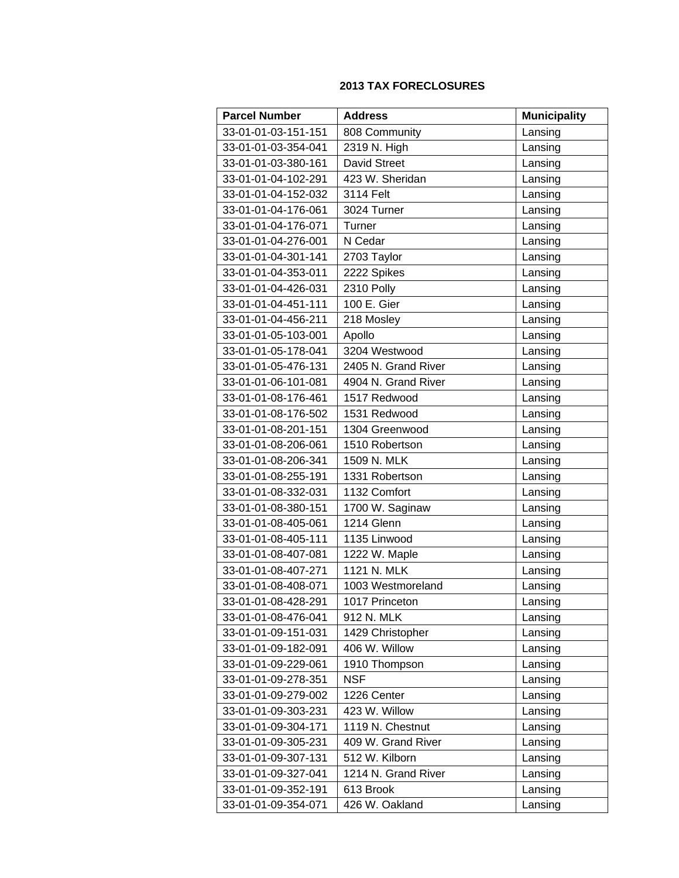#### **2013 TAX FORECLOSURES**

| <b>Parcel Number</b> | <b>Address</b>      | <b>Municipality</b> |
|----------------------|---------------------|---------------------|
| 33-01-01-03-151-151  | 808 Community       | Lansing             |
| 33-01-01-03-354-041  | 2319 N. High        | Lansing             |
| 33-01-01-03-380-161  | <b>David Street</b> | Lansing             |
| 33-01-01-04-102-291  | 423 W. Sheridan     | Lansing             |
| 33-01-01-04-152-032  | 3114 Felt           | Lansing             |
| 33-01-01-04-176-061  | 3024 Turner         | Lansing             |
| 33-01-01-04-176-071  | Turner              | Lansing             |
| 33-01-01-04-276-001  | N Cedar             | Lansing             |
| 33-01-01-04-301-141  | 2703 Taylor         | Lansing             |
| 33-01-01-04-353-011  | 2222 Spikes         | Lansing             |
| 33-01-01-04-426-031  | 2310 Polly          | Lansing             |
| 33-01-01-04-451-111  | 100 E. Gier         | Lansing             |
| 33-01-01-04-456-211  | 218 Mosley          | Lansing             |
| 33-01-01-05-103-001  | Apollo              | Lansing             |
| 33-01-01-05-178-041  | 3204 Westwood       | Lansing             |
| 33-01-01-05-476-131  | 2405 N. Grand River | Lansing             |
| 33-01-01-06-101-081  | 4904 N. Grand River | Lansing             |
| 33-01-01-08-176-461  | 1517 Redwood        | Lansing             |
| 33-01-01-08-176-502  | 1531 Redwood        | Lansing             |
| 33-01-01-08-201-151  | 1304 Greenwood      | Lansing             |
| 33-01-01-08-206-061  | 1510 Robertson      | Lansing             |
| 33-01-01-08-206-341  | 1509 N. MLK         | Lansing             |
| 33-01-01-08-255-191  | 1331 Robertson      | Lansing             |
| 33-01-01-08-332-031  | 1132 Comfort        | Lansing             |
| 33-01-01-08-380-151  | 1700 W. Saginaw     | Lansing             |
| 33-01-01-08-405-061  | 1214 Glenn          | Lansing             |
| 33-01-01-08-405-111  | 1135 Linwood        | Lansing             |
| 33-01-01-08-407-081  | 1222 W. Maple       | Lansing             |
| 33-01-01-08-407-271  | 1121 N. MLK         | Lansing             |
| 33-01-01-08-408-071  | 1003 Westmoreland   | Lansing             |
| 33-01-01-08-428-291  | 1017 Princeton      | Lansing             |
| 33-01-01-08-476-041  | 912 N. MLK          | Lansing             |
| 33-01-01-09-151-031  | 1429 Christopher    | Lansing             |
| 33-01-01-09-182-091  | 406 W. Willow       | Lansing             |
| 33-01-01-09-229-061  | 1910 Thompson       | Lansing             |
| 33-01-01-09-278-351  | <b>NSF</b>          | Lansing             |
| 33-01-01-09-279-002  | 1226 Center         | Lansing             |
| 33-01-01-09-303-231  | 423 W. Willow       | Lansing             |
| 33-01-01-09-304-171  | 1119 N. Chestnut    | Lansing             |
| 33-01-01-09-305-231  | 409 W. Grand River  | Lansing             |
| 33-01-01-09-307-131  | 512 W. Kilborn      | Lansing             |
| 33-01-01-09-327-041  | 1214 N. Grand River | Lansing             |
| 33-01-01-09-352-191  | 613 Brook           | Lansing             |
| 33-01-01-09-354-071  | 426 W. Oakland      | Lansing             |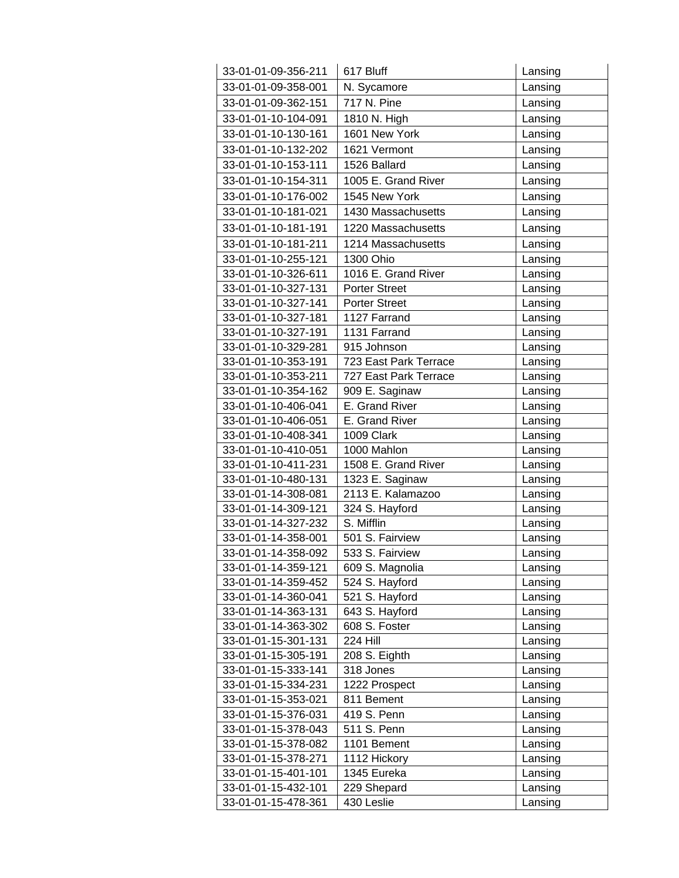| 33-01-01-09-356-211 | 617 Bluff             | Lansing |
|---------------------|-----------------------|---------|
| 33-01-01-09-358-001 | N. Sycamore           | Lansing |
| 33-01-01-09-362-151 | 717 N. Pine           | Lansing |
| 33-01-01-10-104-091 | 1810 N. High          | Lansing |
| 33-01-01-10-130-161 | 1601 New York         | Lansing |
| 33-01-01-10-132-202 | 1621 Vermont          | Lansing |
| 33-01-01-10-153-111 | 1526 Ballard          | Lansing |
| 33-01-01-10-154-311 | 1005 E. Grand River   | Lansing |
| 33-01-01-10-176-002 | 1545 New York         | Lansing |
| 33-01-01-10-181-021 | 1430 Massachusetts    | Lansing |
| 33-01-01-10-181-191 | 1220 Massachusetts    | Lansing |
| 33-01-01-10-181-211 | 1214 Massachusetts    | Lansing |
| 33-01-01-10-255-121 | 1300 Ohio             | Lansing |
| 33-01-01-10-326-611 | 1016 E. Grand River   | Lansing |
| 33-01-01-10-327-131 | <b>Porter Street</b>  | Lansing |
| 33-01-01-10-327-141 | <b>Porter Street</b>  | Lansing |
| 33-01-01-10-327-181 | 1127 Farrand          | Lansing |
| 33-01-01-10-327-191 | 1131 Farrand          | Lansing |
| 33-01-01-10-329-281 | 915 Johnson           | Lansing |
| 33-01-01-10-353-191 | 723 East Park Terrace | Lansing |
| 33-01-01-10-353-211 | 727 East Park Terrace | Lansing |
| 33-01-01-10-354-162 | 909 E. Saginaw        | Lansing |
| 33-01-01-10-406-041 | E. Grand River        | Lansing |
| 33-01-01-10-406-051 | E. Grand River        | Lansing |
| 33-01-01-10-408-341 | 1009 Clark            | Lansing |
| 33-01-01-10-410-051 | 1000 Mahlon           | Lansing |
| 33-01-01-10-411-231 | 1508 E. Grand River   | Lansing |
| 33-01-01-10-480-131 | 1323 E. Saginaw       | Lansing |
| 33-01-01-14-308-081 | 2113 E. Kalamazoo     | Lansing |
| 33-01-01-14-309-121 | 324 S. Hayford        | Lansing |
| 33-01-01-14-327-232 | S. Mifflin            | Lansing |
| 33-01-01-14-358-001 | 501 S. Fairview       | Lansing |
| 33-01-01-14-358-092 | 533 S. Fairview       | Lansing |
| 33-01-01-14-359-121 | 609 S. Magnolia       | Lansing |
| 33-01-01-14-359-452 | 524 S. Hayford        | Lansing |
| 33-01-01-14-360-041 | 521 S. Hayford        | Lansing |
| 33-01-01-14-363-131 | 643 S. Hayford        | Lansing |
| 33-01-01-14-363-302 | 608 S. Foster         | Lansing |
| 33-01-01-15-301-131 | 224 Hill              | Lansing |
| 33-01-01-15-305-191 | 208 S. Eighth         | Lansing |
| 33-01-01-15-333-141 | 318 Jones             | Lansing |
| 33-01-01-15-334-231 | 1222 Prospect         | Lansing |
| 33-01-01-15-353-021 | 811 Bement            | Lansing |
| 33-01-01-15-376-031 | 419 S. Penn           | Lansing |
| 33-01-01-15-378-043 | 511 S. Penn           | Lansing |
| 33-01-01-15-378-082 | 1101 Bement           | Lansing |
| 33-01-01-15-378-271 | 1112 Hickory          | Lansing |
| 33-01-01-15-401-101 | 1345 Eureka           | Lansing |
| 33-01-01-15-432-101 | 229 Shepard           | Lansing |
| 33-01-01-15-478-361 | 430 Leslie            | Lansing |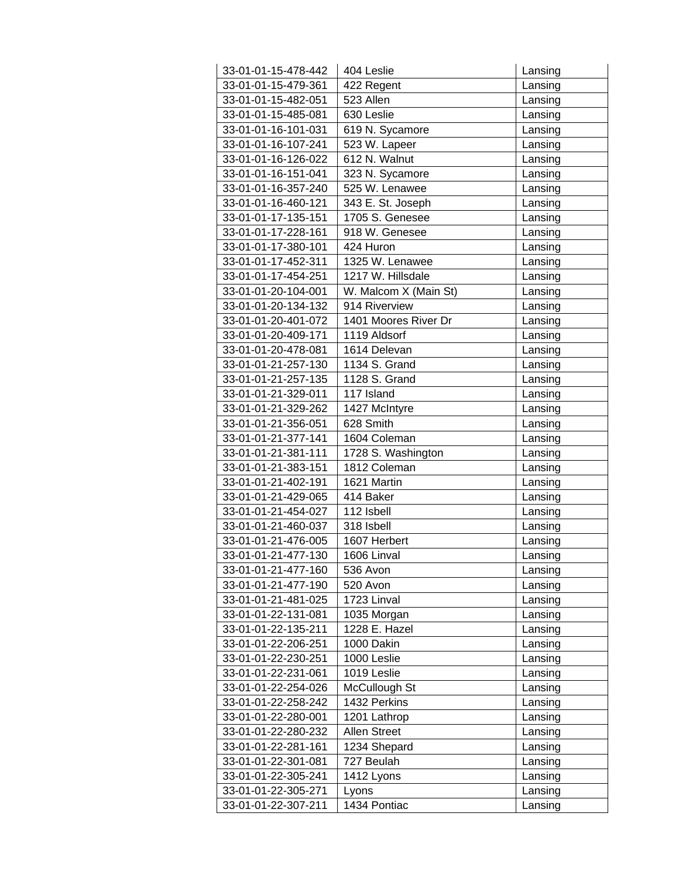| 33-01-01-15-478-442 | 404 Leslie            | Lansing |
|---------------------|-----------------------|---------|
| 33-01-01-15-479-361 | 422 Regent            | Lansing |
| 33-01-01-15-482-051 | 523 Allen             | Lansing |
| 33-01-01-15-485-081 | 630 Leslie            | Lansing |
| 33-01-01-16-101-031 | 619 N. Sycamore       | Lansing |
| 33-01-01-16-107-241 | 523 W. Lapeer         | Lansing |
| 33-01-01-16-126-022 | 612 N. Walnut         | Lansing |
| 33-01-01-16-151-041 | 323 N. Sycamore       | Lansing |
| 33-01-01-16-357-240 | 525 W. Lenawee        | Lansing |
| 33-01-01-16-460-121 | 343 E. St. Joseph     | Lansing |
| 33-01-01-17-135-151 | 1705 S. Genesee       | Lansing |
| 33-01-01-17-228-161 | 918 W. Genesee        | Lansing |
| 33-01-01-17-380-101 | 424 Huron             | Lansing |
| 33-01-01-17-452-311 | 1325 W. Lenawee       | Lansing |
| 33-01-01-17-454-251 | 1217 W. Hillsdale     | Lansing |
| 33-01-01-20-104-001 | W. Malcom X (Main St) | Lansing |
| 33-01-01-20-134-132 | 914 Riverview         | Lansing |
| 33-01-01-20-401-072 | 1401 Moores River Dr  | Lansing |
| 33-01-01-20-409-171 | 1119 Aldsorf          | Lansing |
| 33-01-01-20-478-081 | 1614 Delevan          | Lansing |
| 33-01-01-21-257-130 | 1134 S. Grand         | Lansing |
| 33-01-01-21-257-135 | 1128 S. Grand         | Lansing |
| 33-01-01-21-329-011 | 117 Island            | Lansing |
| 33-01-01-21-329-262 | 1427 McIntyre         | Lansing |
| 33-01-01-21-356-051 | 628 Smith             | Lansing |
| 33-01-01-21-377-141 | 1604 Coleman          | Lansing |
| 33-01-01-21-381-111 | 1728 S. Washington    | Lansing |
| 33-01-01-21-383-151 | 1812 Coleman          | Lansing |
| 33-01-01-21-402-191 | 1621 Martin           | Lansing |
| 33-01-01-21-429-065 | 414 Baker             | Lansing |
| 33-01-01-21-454-027 | 112 Isbell            | Lansing |
| 33-01-01-21-460-037 | 318 Isbell            | Lansing |
| 33-01-01-21-476-005 | 1607 Herbert          | Lansing |
| 33-01-01-21-477-130 | 1606 Linval           | Lansing |
| 33-01-01-21-477-160 | 536 Avon              | Lansing |
| 33-01-01-21-477-190 | 520 Avon              | Lansing |
| 33-01-01-21-481-025 | 1723 Linval           | Lansing |
| 33-01-01-22-131-081 | 1035 Morgan           | Lansing |
| 33-01-01-22-135-211 | 1228 E. Hazel         | Lansing |
| 33-01-01-22-206-251 | 1000 Dakin            | Lansing |
| 33-01-01-22-230-251 | 1000 Leslie           | Lansing |
| 33-01-01-22-231-061 | 1019 Leslie           | Lansing |
| 33-01-01-22-254-026 | McCullough St         | Lansing |
| 33-01-01-22-258-242 | 1432 Perkins          | Lansing |
| 33-01-01-22-280-001 | 1201 Lathrop          | Lansing |
| 33-01-01-22-280-232 | Allen Street          | Lansing |
| 33-01-01-22-281-161 | 1234 Shepard          | Lansing |
| 33-01-01-22-301-081 | 727 Beulah            | Lansing |
| 33-01-01-22-305-241 | 1412 Lyons            | Lansing |
| 33-01-01-22-305-271 | Lyons                 | Lansing |
| 33-01-01-22-307-211 | 1434 Pontiac          | Lansing |
|                     |                       |         |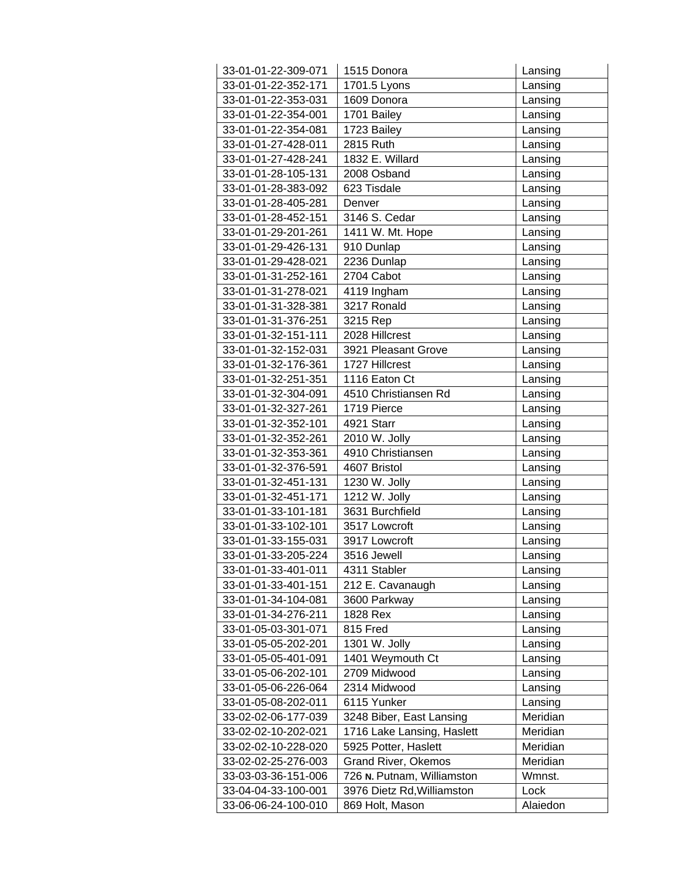| 33-01-01-22-309-071 | 1515 Donora                | Lansing  |
|---------------------|----------------------------|----------|
| 33-01-01-22-352-171 | 1701.5 Lyons               | Lansing  |
| 33-01-01-22-353-031 | 1609 Donora                | Lansing  |
| 33-01-01-22-354-001 | 1701 Bailey                | Lansing  |
| 33-01-01-22-354-081 | 1723 Bailey                | Lansing  |
| 33-01-01-27-428-011 | 2815 Ruth                  | Lansing  |
| 33-01-01-27-428-241 | 1832 E. Willard            | Lansing  |
| 33-01-01-28-105-131 | 2008 Osband                | Lansing  |
| 33-01-01-28-383-092 | 623 Tisdale                | Lansing  |
| 33-01-01-28-405-281 | Denver                     | Lansing  |
| 33-01-01-28-452-151 | 3146 S. Cedar              | Lansing  |
| 33-01-01-29-201-261 | 1411 W. Mt. Hope           | Lansing  |
| 33-01-01-29-426-131 | 910 Dunlap                 | Lansing  |
| 33-01-01-29-428-021 | 2236 Dunlap                | Lansing  |
| 33-01-01-31-252-161 | 2704 Cabot                 | Lansing  |
| 33-01-01-31-278-021 | 4119 Ingham                | Lansing  |
| 33-01-01-31-328-381 | 3217 Ronald                | Lansing  |
| 33-01-01-31-376-251 | 3215 Rep                   | Lansing  |
| 33-01-01-32-151-111 | 2028 Hillcrest             | Lansing  |
| 33-01-01-32-152-031 | 3921 Pleasant Grove        | Lansing  |
| 33-01-01-32-176-361 | 1727 Hillcrest             | Lansing  |
| 33-01-01-32-251-351 | 1116 Eaton Ct              | Lansing  |
| 33-01-01-32-304-091 | 4510 Christiansen Rd       | Lansing  |
| 33-01-01-32-327-261 | 1719 Pierce                | Lansing  |
| 33-01-01-32-352-101 | 4921 Starr                 | Lansing  |
| 33-01-01-32-352-261 | 2010 W. Jolly              | Lansing  |
| 33-01-01-32-353-361 | 4910 Christiansen          | Lansing  |
| 33-01-01-32-376-591 | 4607 Bristol               | Lansing  |
| 33-01-01-32-451-131 | 1230 W. Jolly              | Lansing  |
| 33-01-01-32-451-171 | 1212 W. Jolly              | Lansing  |
| 33-01-01-33-101-181 | 3631 Burchfield            | Lansing  |
| 33-01-01-33-102-101 | 3517 Lowcroft              | Lansing  |
| 33-01-01-33-155-031 | 3917 Lowcroft              | Lansing  |
| 33-01-01-33-205-224 | 3516 Jewell                | Lansing  |
| 33-01-01-33-401-011 | 4311 Stabler               | Lansing  |
| 33-01-01-33-401-151 | 212 E. Cavanaugh           | Lansing  |
| 33-01-01-34-104-081 | 3600 Parkway               | Lansing  |
| 33-01-01-34-276-211 | 1828 Rex                   | Lansing  |
| 33-01-05-03-301-071 | 815 Fred                   | Lansing  |
| 33-01-05-05-202-201 | 1301 W. Jolly              | Lansing  |
| 33-01-05-05-401-091 | 1401 Weymouth Ct           | Lansing  |
| 33-01-05-06-202-101 | 2709 Midwood               | Lansing  |
| 33-01-05-06-226-064 | 2314 Midwood               | Lansing  |
| 33-01-05-08-202-011 | 6115 Yunker                | Lansing  |
| 33-02-02-06-177-039 | 3248 Biber, East Lansing   | Meridian |
| 33-02-02-10-202-021 | 1716 Lake Lansing, Haslett | Meridian |
| 33-02-02-10-228-020 | 5925 Potter, Haslett       | Meridian |
| 33-02-02-25-276-003 | Grand River, Okemos        | Meridian |
| 33-03-03-36-151-006 | 726 N. Putnam, Williamston | Wmnst.   |
| 33-04-04-33-100-001 | 3976 Dietz Rd, Williamston | Lock     |
| 33-06-06-24-100-010 | 869 Holt, Mason            | Alaiedon |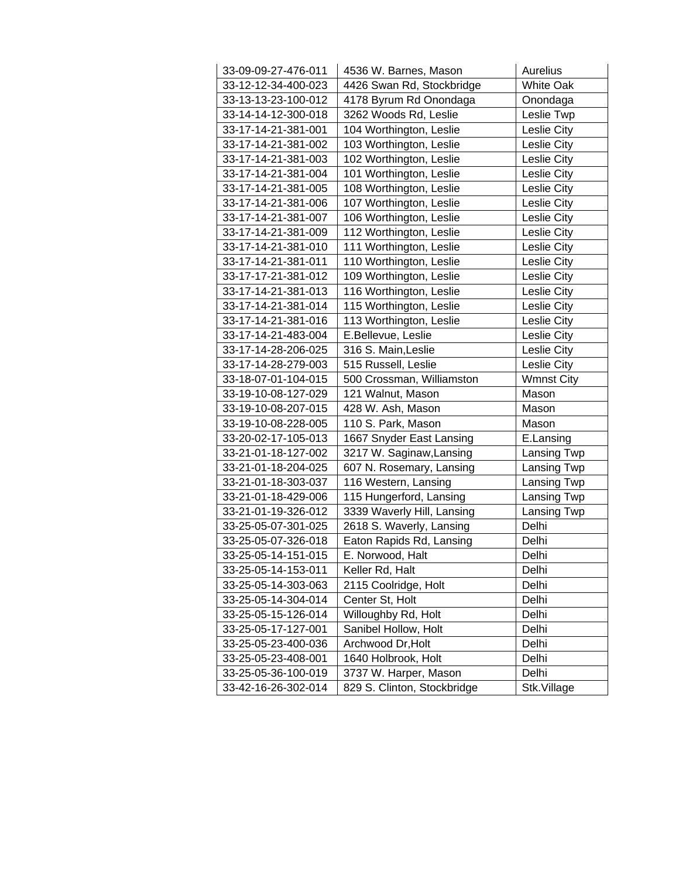| 33-09-09-27-476-011 | 4536 W. Barnes, Mason       | Aurelius          |
|---------------------|-----------------------------|-------------------|
| 33-12-12-34-400-023 | 4426 Swan Rd, Stockbridge   | <b>White Oak</b>  |
| 33-13-13-23-100-012 | 4178 Byrum Rd Onondaga      | Onondaga          |
| 33-14-14-12-300-018 | 3262 Woods Rd, Leslie       | Leslie Twp        |
| 33-17-14-21-381-001 | 104 Worthington, Leslie     | Leslie City       |
| 33-17-14-21-381-002 | 103 Worthington, Leslie     | Leslie City       |
| 33-17-14-21-381-003 | 102 Worthington, Leslie     | Leslie City       |
| 33-17-14-21-381-004 | 101 Worthington, Leslie     | Leslie City       |
| 33-17-14-21-381-005 | 108 Worthington, Leslie     | Leslie City       |
| 33-17-14-21-381-006 | 107 Worthington, Leslie     | Leslie City       |
| 33-17-14-21-381-007 | 106 Worthington, Leslie     | Leslie City       |
| 33-17-14-21-381-009 | 112 Worthington, Leslie     | Leslie City       |
| 33-17-14-21-381-010 | 111 Worthington, Leslie     | Leslie City       |
| 33-17-14-21-381-011 | 110 Worthington, Leslie     | Leslie City       |
| 33-17-17-21-381-012 | 109 Worthington, Leslie     | Leslie City       |
| 33-17-14-21-381-013 | 116 Worthington, Leslie     | Leslie City       |
| 33-17-14-21-381-014 | 115 Worthington, Leslie     | Leslie City       |
| 33-17-14-21-381-016 | 113 Worthington, Leslie     | Leslie City       |
| 33-17-14-21-483-004 | E.Bellevue, Leslie          | Leslie City       |
| 33-17-14-28-206-025 | 316 S. Main, Leslie         | Leslie City       |
| 33-17-14-28-279-003 | 515 Russell, Leslie         | Leslie City       |
| 33-18-07-01-104-015 | 500 Crossman, Williamston   | <b>Wmnst City</b> |
| 33-19-10-08-127-029 | 121 Walnut, Mason           | Mason             |
| 33-19-10-08-207-015 | 428 W. Ash, Mason           | Mason             |
| 33-19-10-08-228-005 | 110 S. Park, Mason          | Mason             |
| 33-20-02-17-105-013 | 1667 Snyder East Lansing    | E.Lansing         |
| 33-21-01-18-127-002 | 3217 W. Saginaw, Lansing    | Lansing Twp       |
| 33-21-01-18-204-025 | 607 N. Rosemary, Lansing    | Lansing Twp       |
| 33-21-01-18-303-037 | 116 Western, Lansing        | Lansing Twp       |
| 33-21-01-18-429-006 | 115 Hungerford, Lansing     | Lansing Twp       |
| 33-21-01-19-326-012 | 3339 Waverly Hill, Lansing  | Lansing Twp       |
| 33-25-05-07-301-025 | 2618 S. Waverly, Lansing    | Delhi             |
| 33-25-05-07-326-018 | Eaton Rapids Rd, Lansing    | Delhi             |
| 33-25-05-14-151-015 | E. Norwood, Halt            | Delhi             |
| 33-25-05-14-153-011 | Keller Rd, Halt             | Delhi             |
| 33-25-05-14-303-063 | 2115 Coolridge, Holt        | Delhi             |
| 33-25-05-14-304-014 | Center St, Holt             | Delhi             |
| 33-25-05-15-126-014 | Willoughby Rd, Holt         | Delhi             |
| 33-25-05-17-127-001 | Sanibel Hollow, Holt        | Delhi             |
| 33-25-05-23-400-036 | Archwood Dr, Holt           | Delhi             |
| 33-25-05-23-408-001 | 1640 Holbrook, Holt         | Delhi             |
| 33-25-05-36-100-019 | 3737 W. Harper, Mason       | Delhi             |
| 33-42-16-26-302-014 | 829 S. Clinton, Stockbridge | Stk.Village       |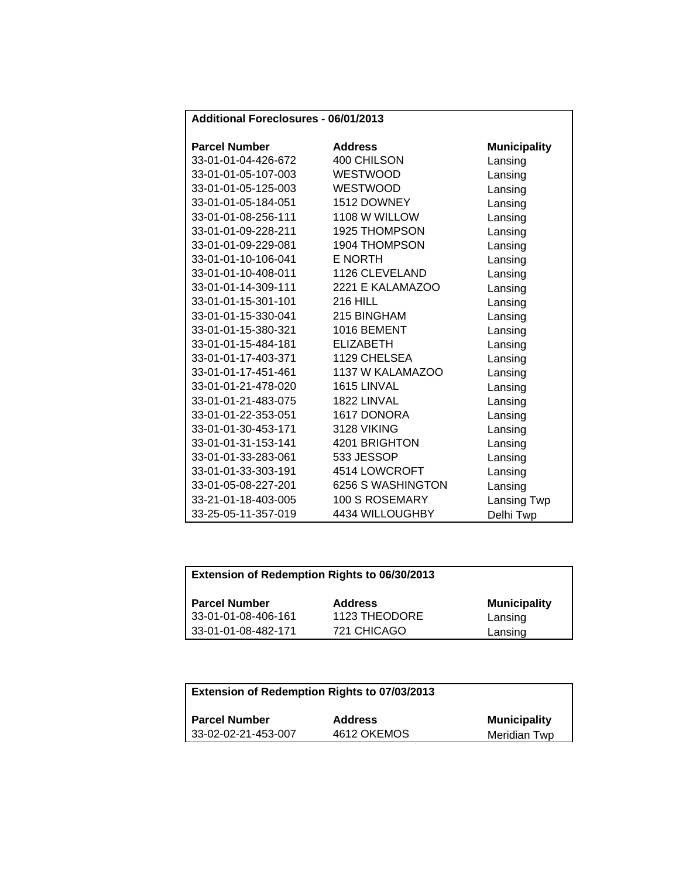| Additional Foreclosures - 06/01/2013 |
|--------------------------------------|
|--------------------------------------|

| <b>Parcel Number</b> | <b>Address</b>       | <b>Municipality</b> |
|----------------------|----------------------|---------------------|
| 33-01-01-04-426-672  | 400 CHILSON          | Lansing             |
| 33-01-01-05-107-003  | <b>WESTWOOD</b>      | Lansing             |
| 33-01-01-05-125-003  | <b>WESTWOOD</b>      | Lansing             |
| 33-01-01-05-184-051  | 1512 DOWNEY          | Lansing             |
| 33-01-01-08-256-111  | 1108 W WILLOW        | Lansing             |
| 33-01-01-09-228-211  | <b>1925 THOMPSON</b> | Lansing             |
| 33-01-01-09-229-081  | 1904 THOMPSON        | Lansing             |
| 33-01-01-10-106-041  | <b>E NORTH</b>       | Lansing             |
| 33-01-01-10-408-011  | 1126 CLEVELAND       | Lansing             |
| 33-01-01-14-309-111  | 2221 E KALAMAZOO     | Lansing             |
| 33-01-01-15-301-101  | <b>216 HILL</b>      | Lansing             |
| 33-01-01-15-330-041  | 215 BINGHAM          | Lansing             |
| 33-01-01-15-380-321  | 1016 BEMENT          | Lansing             |
| 33-01-01-15-484-181  | <b>ELIZABETH</b>     | Lansing             |
| 33-01-01-17-403-371  | 1129 CHELSEA         | Lansing             |
| 33-01-01-17-451-461  | 1137 W KALAMAZOO     | Lansing             |
| 33-01-01-21-478-020  | 1615 LINVAL          | Lansing             |
| 33-01-01-21-483-075  | 1822 LINVAL          | Lansing             |
| 33-01-01-22-353-051  | 1617 DONORA          | Lansing             |
| 33-01-01-30-453-171  | 3128 VIKING          | Lansing             |
| 33-01-01-31-153-141  | 4201 BRIGHTON        | Lansing             |
| 33-01-01-33-283-061  | 533 JESSOP           | Lansing             |
| 33-01-01-33-303-191  | 4514 LOWCROFT        | Lansing             |
| 33-01-05-08-227-201  | 6256 S WASHINGTON    | Lansing             |
| 33-21-01-18-403-005  | 100 S ROSEMARY       | Lansing Twp         |
| 33-25-05-11-357-019  | 4434 WILLOUGHBY      | Delhi Twp           |

| <b>Extension of Redemption Rights to 06/30/2013</b> |  |
|-----------------------------------------------------|--|
|                                                     |  |

| <b>Parcel Number</b> | <b>Address</b> | <b>Municipality</b> |
|----------------------|----------------|---------------------|
| 33-01-01-08-406-161  | 1123 THEODORE  | Lansing             |
| 33-01-01-08-482-171  | 721 CHICAGO    | Lansing             |

| Extension of Redemption Rights to 07/03/2013 |                |                     |  |
|----------------------------------------------|----------------|---------------------|--|
| <b>Parcel Number</b>                         | <b>Address</b> | <b>Municipality</b> |  |
| 33-02-02-21-453-007                          | 4612 OKEMOS    | Meridian Twp        |  |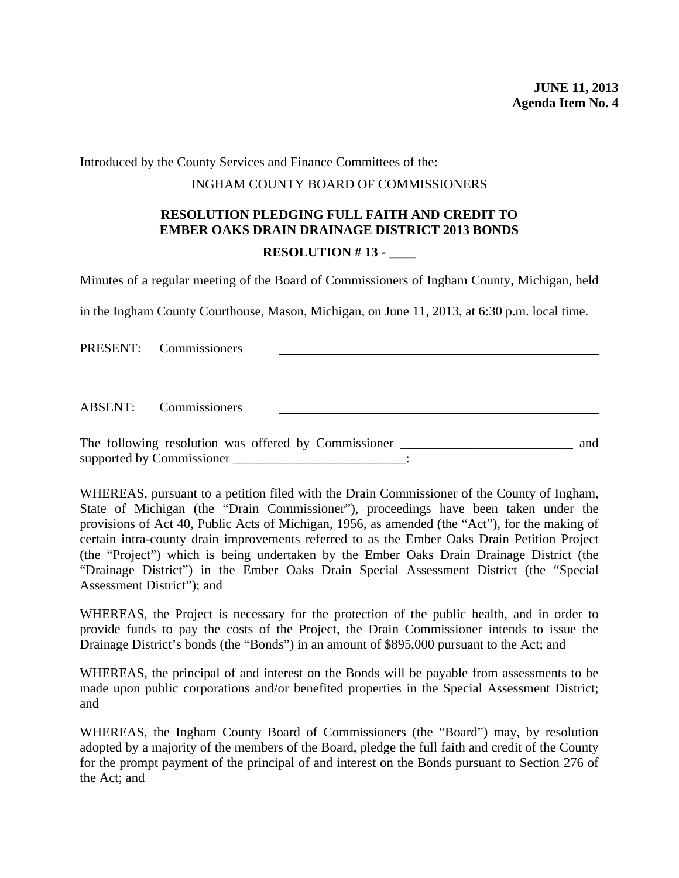<span id="page-39-0"></span>Introduced by the County Services and Finance Committees of the:

#### INGHAM COUNTY BOARD OF COMMISSIONERS

# **RESOLUTION PLEDGING FULL FAITH AND CREDIT TO EMBER OAKS DRAIN DRAINAGE DISTRICT 2013 BONDS**

#### **RESOLUTION # 13 -**

Minutes of a regular meeting of the Board of Commissioners of Ingham County, Michigan, held

in the Ingham County Courthouse, Mason, Michigan, on June 11, 2013, at 6:30 p.m. local time.

| PRESENT: Commissioners                                                            |  |     |
|-----------------------------------------------------------------------------------|--|-----|
|                                                                                   |  |     |
| ABSENT: Commissioners                                                             |  |     |
| The following resolution was offered by Commissioner ____________________________ |  | and |

WHEREAS, pursuant to a petition filed with the Drain Commissioner of the County of Ingham, State of Michigan (the "Drain Commissioner"), proceedings have been taken under the provisions of Act 40, Public Acts of Michigan, 1956, as amended (the "Act"), for the making of certain intra-county drain improvements referred to as the Ember Oaks Drain Petition Project (the "Project") which is being undertaken by the Ember Oaks Drain Drainage District (the "Drainage District") in the Ember Oaks Drain Special Assessment District (the "Special Assessment District"); and

WHEREAS, the Project is necessary for the protection of the public health, and in order to provide funds to pay the costs of the Project, the Drain Commissioner intends to issue the Drainage District's bonds (the "Bonds") in an amount of \$895,000 pursuant to the Act; and

WHEREAS, the principal of and interest on the Bonds will be payable from assessments to be made upon public corporations and/or benefited properties in the Special Assessment District; and

WHEREAS, the Ingham County Board of Commissioners (the "Board") may, by resolution adopted by a majority of the members of the Board, pledge the full faith and credit of the County for the prompt payment of the principal of and interest on the Bonds pursuant to Section 276 of the Act; and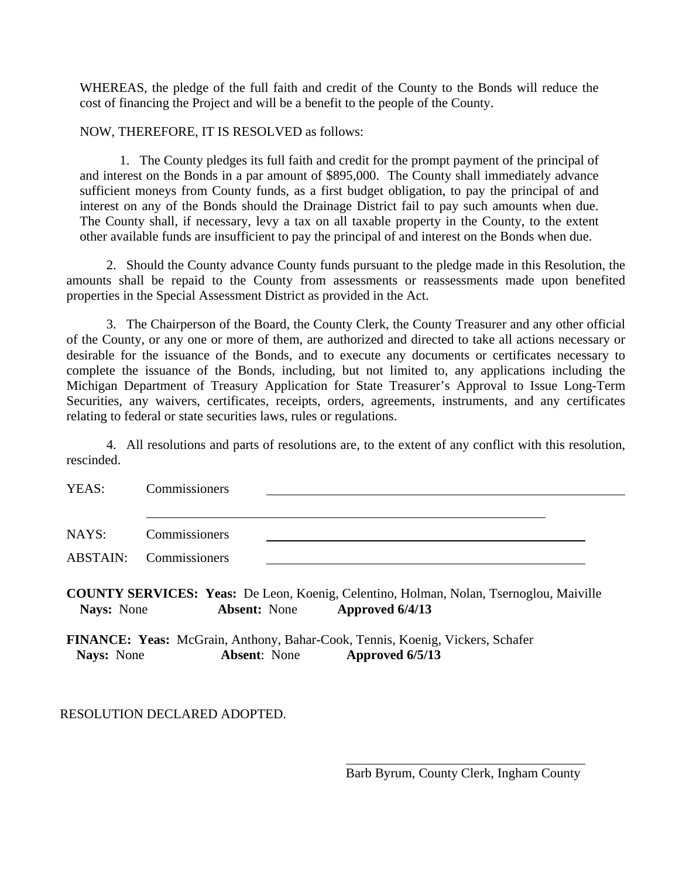WHEREAS, the pledge of the full faith and credit of the County to the Bonds will reduce the cost of financing the Project and will be a benefit to the people of the County.

NOW, THEREFORE, IT IS RESOLVED as follows:

1. The County pledges its full faith and credit for the prompt payment of the principal of and interest on the Bonds in a par amount of \$895,000. The County shall immediately advance sufficient moneys from County funds, as a first budget obligation, to pay the principal of and interest on any of the Bonds should the Drainage District fail to pay such amounts when due. The County shall, if necessary, levy a tax on all taxable property in the County, to the extent other available funds are insufficient to pay the principal of and interest on the Bonds when due.

2. Should the County advance County funds pursuant to the pledge made in this Resolution, the amounts shall be repaid to the County from assessments or reassessments made upon benefited properties in the Special Assessment District as provided in the Act.

3. The Chairperson of the Board, the County Clerk, the County Treasurer and any other official of the County, or any one or more of them, are authorized and directed to take all actions necessary or desirable for the issuance of the Bonds, and to execute any documents or certificates necessary to complete the issuance of the Bonds, including, but not limited to, any applications including the Michigan Department of Treasury Application for State Treasurer's Approval to Issue Long-Term Securities, any waivers, certificates, receipts, orders, agreements, instruments, and any certificates relating to federal or state securities laws, rules or regulations.

4. All resolutions and parts of resolutions are, to the extent of any conflict with this resolution, rescinded.

| YEAS:             | Commissioners                                                                                                                           |
|-------------------|-----------------------------------------------------------------------------------------------------------------------------------------|
| NAYS:             | Commissioners                                                                                                                           |
| <b>ABSTAIN:</b>   | Commissioners                                                                                                                           |
| <b>Nays:</b> None | <b>COUNTY SERVICES: Yeas:</b> De Leon, Koenig, Celentino, Holman, Nolan, Tsernoglou, Maiville<br>Approved 6/4/13<br><b>Absent:</b> None |
| <b>Nays:</b> None | <b>FINANCE: Yeas:</b> McGrain, Anthony, Bahar-Cook, Tennis, Koenig, Vickers, Schafer<br>Approved 6/5/13<br><b>Absent:</b> None          |

 $\overline{a}$ 

## RESOLUTION DECLARED ADOPTED.

Barb Byrum, County Clerk, Ingham County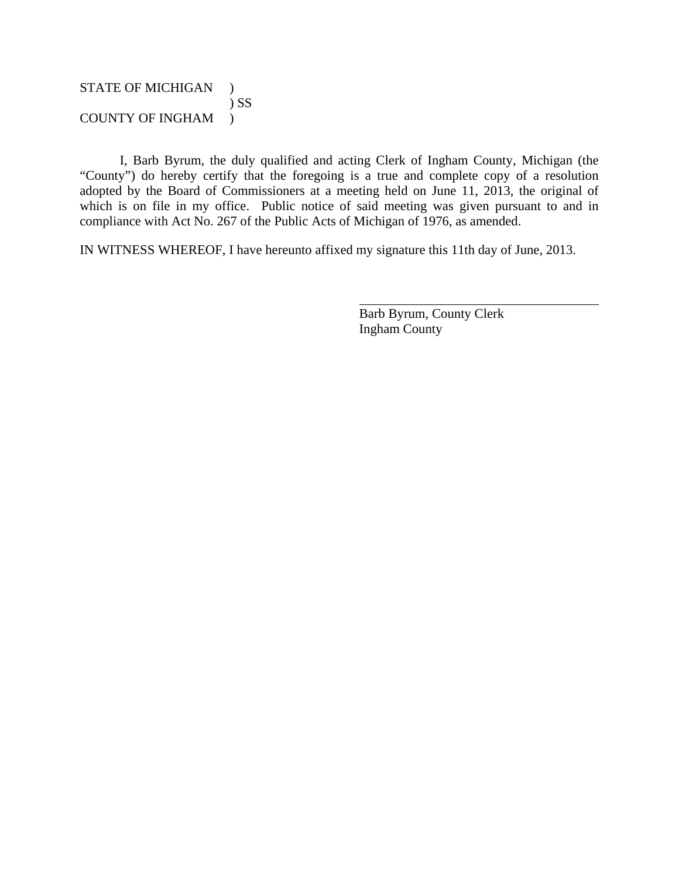## STATE OF MICHIGAN ) ) SS COUNTY OF INGHAM )

I, Barb Byrum, the duly qualified and acting Clerk of Ingham County, Michigan (the "County") do hereby certify that the foregoing is a true and complete copy of a resolution adopted by the Board of Commissioners at a meeting held on June 11, 2013, the original of which is on file in my office. Public notice of said meeting was given pursuant to and in compliance with Act No. 267 of the Public Acts of Michigan of 1976, as amended.

 $\overline{a}$ 

IN WITNESS WHEREOF, I have hereunto affixed my signature this 11th day of June, 2013.

Barb Byrum, County Clerk Ingham County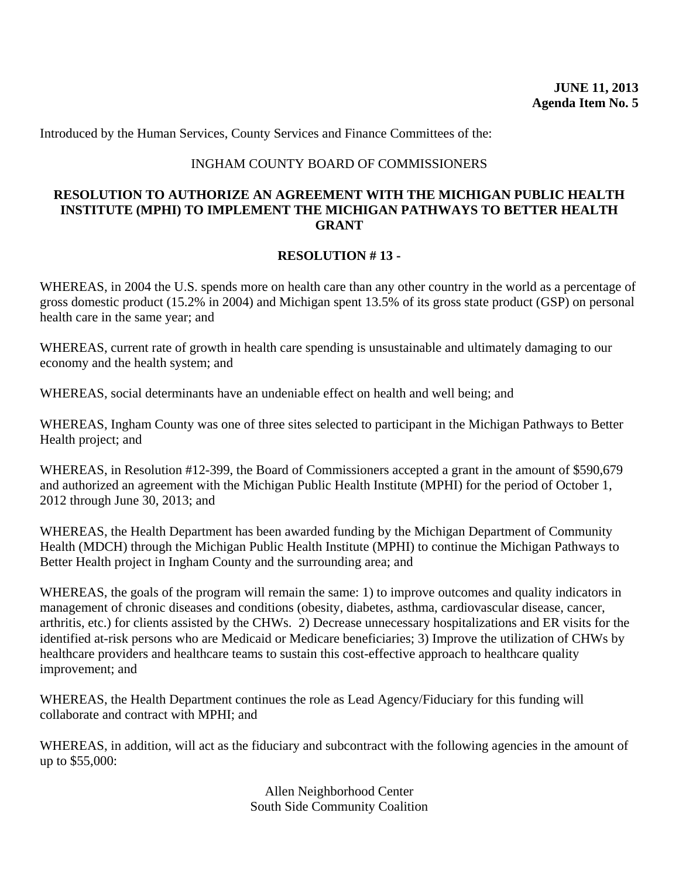<span id="page-42-0"></span>Introduced by the Human Services, County Services and Finance Committees of the:

#### INGHAM COUNTY BOARD OF COMMISSIONERS

#### **RESOLUTION TO AUTHORIZE AN AGREEMENT WITH THE MICHIGAN PUBLIC HEALTH INSTITUTE (MPHI) TO IMPLEMENT THE MICHIGAN PATHWAYS TO BETTER HEALTH GRANT**

#### **RESOLUTION # 13 -**

WHEREAS, in 2004 the U.S. spends more on health care than any other country in the world as a percentage of gross domestic product (15.2% in 2004) and Michigan spent 13.5% of its gross state product (GSP) on personal health care in the same year; and

WHEREAS, current rate of growth in health care spending is unsustainable and ultimately damaging to our economy and the health system; and

WHEREAS, social determinants have an undeniable effect on health and well being; and

WHEREAS, Ingham County was one of three sites selected to participant in the Michigan Pathways to Better Health project; and

WHEREAS, in Resolution #12-399, the Board of Commissioners accepted a grant in the amount of \$590,679 and authorized an agreement with the Michigan Public Health Institute (MPHI) for the period of October 1, 2012 through June 30, 2013; and

WHEREAS, the Health Department has been awarded funding by the Michigan Department of Community Health (MDCH) through the Michigan Public Health Institute (MPHI) to continue the Michigan Pathways to Better Health project in Ingham County and the surrounding area; and

WHEREAS, the goals of the program will remain the same: 1) to improve outcomes and quality indicators in management of chronic diseases and conditions (obesity, diabetes, asthma, cardiovascular disease, cancer, arthritis, etc.) for clients assisted by the CHWs. 2) Decrease unnecessary hospitalizations and ER visits for the identified at-risk persons who are Medicaid or Medicare beneficiaries; 3) Improve the utilization of CHWs by healthcare providers and healthcare teams to sustain this cost-effective approach to healthcare quality improvement; and

WHEREAS, the Health Department continues the role as Lead Agency/Fiduciary for this funding will collaborate and contract with MPHI; and

WHEREAS, in addition, will act as the fiduciary and subcontract with the following agencies in the amount of up to \$55,000:

> Allen Neighborhood Center South Side Community Coalition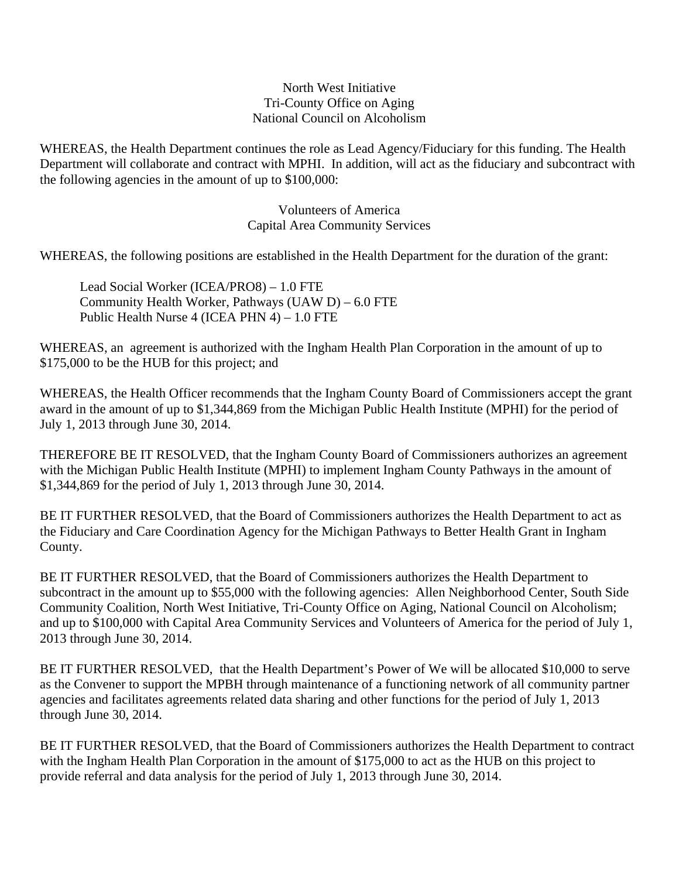#### North West Initiative Tri-County Office on Aging National Council on Alcoholism

WHEREAS, the Health Department continues the role as Lead Agency/Fiduciary for this funding. The Health Department will collaborate and contract with MPHI. In addition, will act as the fiduciary and subcontract with the following agencies in the amount of up to \$100,000:

> Volunteers of America Capital Area Community Services

WHEREAS, the following positions are established in the Health Department for the duration of the grant:

Lead Social Worker (ICEA/PRO8) – 1.0 FTE Community Health Worker, Pathways (UAW D) – 6.0 FTE Public Health Nurse 4 (ICEA PHN 4) – 1.0 FTE

WHEREAS, an agreement is authorized with the Ingham Health Plan Corporation in the amount of up to \$175,000 to be the HUB for this project; and

WHEREAS, the Health Officer recommends that the Ingham County Board of Commissioners accept the grant award in the amount of up to \$1,344,869 from the Michigan Public Health Institute (MPHI) for the period of July 1, 2013 through June 30, 2014.

THEREFORE BE IT RESOLVED, that the Ingham County Board of Commissioners authorizes an agreement with the Michigan Public Health Institute (MPHI) to implement Ingham County Pathways in the amount of \$1,344,869 for the period of July 1, 2013 through June 30, 2014.

BE IT FURTHER RESOLVED, that the Board of Commissioners authorizes the Health Department to act as the Fiduciary and Care Coordination Agency for the Michigan Pathways to Better Health Grant in Ingham County.

BE IT FURTHER RESOLVED, that the Board of Commissioners authorizes the Health Department to subcontract in the amount up to \$55,000 with the following agencies: Allen Neighborhood Center, South Side Community Coalition, North West Initiative, Tri-County Office on Aging, National Council on Alcoholism; and up to \$100,000 with Capital Area Community Services and Volunteers of America for the period of July 1, 2013 through June 30, 2014.

BE IT FURTHER RESOLVED, that the Health Department's Power of We will be allocated \$10,000 to serve as the Convener to support the MPBH through maintenance of a functioning network of all community partner agencies and facilitates agreements related data sharing and other functions for the period of July 1, 2013 through June 30, 2014.

BE IT FURTHER RESOLVED, that the Board of Commissioners authorizes the Health Department to contract with the Ingham Health Plan Corporation in the amount of \$175,000 to act as the HUB on this project to provide referral and data analysis for the period of July 1, 2013 through June 30, 2014.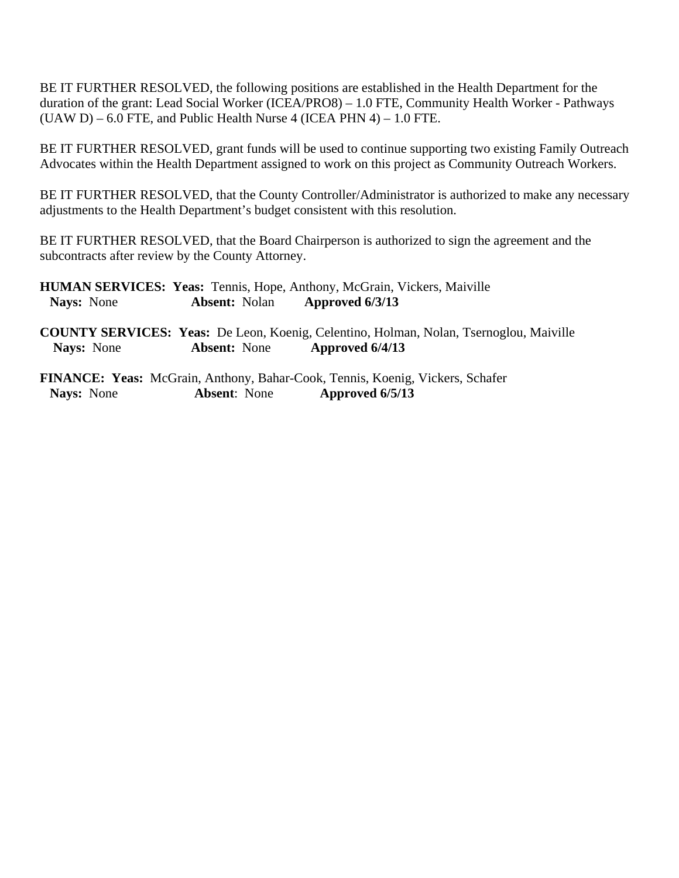BE IT FURTHER RESOLVED, the following positions are established in the Health Department for the duration of the grant: Lead Social Worker (ICEA/PRO8) – 1.0 FTE, Community Health Worker - Pathways  $(UAW D) - 6.0$  FTE, and Public Health Nurse 4 (ICEA PHN 4) – 1.0 FTE.

BE IT FURTHER RESOLVED, grant funds will be used to continue supporting two existing Family Outreach Advocates within the Health Department assigned to work on this project as Community Outreach Workers.

BE IT FURTHER RESOLVED, that the County Controller/Administrator is authorized to make any necessary adjustments to the Health Department's budget consistent with this resolution.

BE IT FURTHER RESOLVED, that the Board Chairperson is authorized to sign the agreement and the subcontracts after review by the County Attorney.

**HUMAN SERVICES: Yeas:** Tennis, Hope, Anthony, McGrain, Vickers, Maiville  **Nays:** None **Absent:** Nolan **Approved 6/3/13** 

**COUNTY SERVICES: Yeas:** De Leon, Koenig, Celentino, Holman, Nolan, Tsernoglou, Maiville **Nays:** None **Absent:** None **Approved 6/4/13** 

**FINANCE: Yeas:** McGrain, Anthony, Bahar-Cook, Tennis, Koenig, Vickers, Schafer **Nays:** None **Absent**: None **Approved 6/5/13**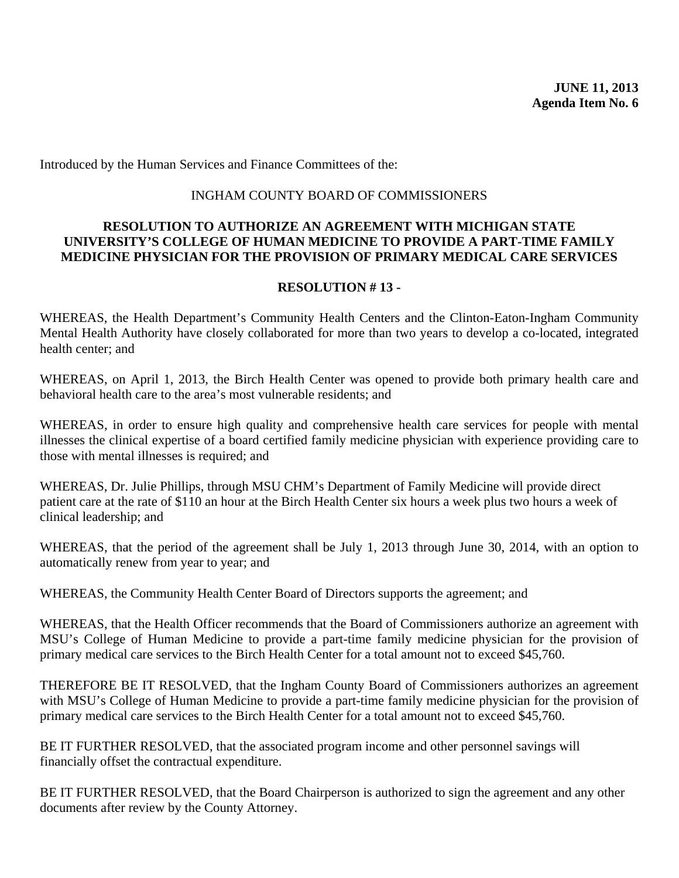<span id="page-45-0"></span>Introduced by the Human Services and Finance Committees of the:

#### INGHAM COUNTY BOARD OF COMMISSIONERS

#### **RESOLUTION TO AUTHORIZE AN AGREEMENT WITH MICHIGAN STATE UNIVERSITY'S COLLEGE OF HUMAN MEDICINE TO PROVIDE A PART-TIME FAMILY MEDICINE PHYSICIAN FOR THE PROVISION OF PRIMARY MEDICAL CARE SERVICES**

#### **RESOLUTION # 13 -**

WHEREAS, the Health Department's Community Health Centers and the Clinton-Eaton-Ingham Community Mental Health Authority have closely collaborated for more than two years to develop a co-located, integrated health center; and

WHEREAS, on April 1, 2013, the Birch Health Center was opened to provide both primary health care and behavioral health care to the area's most vulnerable residents; and

WHEREAS, in order to ensure high quality and comprehensive health care services for people with mental illnesses the clinical expertise of a board certified family medicine physician with experience providing care to those with mental illnesses is required; and

WHEREAS, Dr. Julie Phillips, through MSU CHM's Department of Family Medicine will provide direct patient care at the rate of \$110 an hour at the Birch Health Center six hours a week plus two hours a week of clinical leadership; and

WHEREAS, that the period of the agreement shall be July 1, 2013 through June 30, 2014, with an option to automatically renew from year to year; and

WHEREAS, the Community Health Center Board of Directors supports the agreement; and

WHEREAS, that the Health Officer recommends that the Board of Commissioners authorize an agreement with MSU's College of Human Medicine to provide a part-time family medicine physician for the provision of primary medical care services to the Birch Health Center for a total amount not to exceed \$45,760.

THEREFORE BE IT RESOLVED, that the Ingham County Board of Commissioners authorizes an agreement with MSU's College of Human Medicine to provide a part-time family medicine physician for the provision of primary medical care services to the Birch Health Center for a total amount not to exceed \$45,760.

BE IT FURTHER RESOLVED, that the associated program income and other personnel savings will financially offset the contractual expenditure.

BE IT FURTHER RESOLVED, that the Board Chairperson is authorized to sign the agreement and any other documents after review by the County Attorney.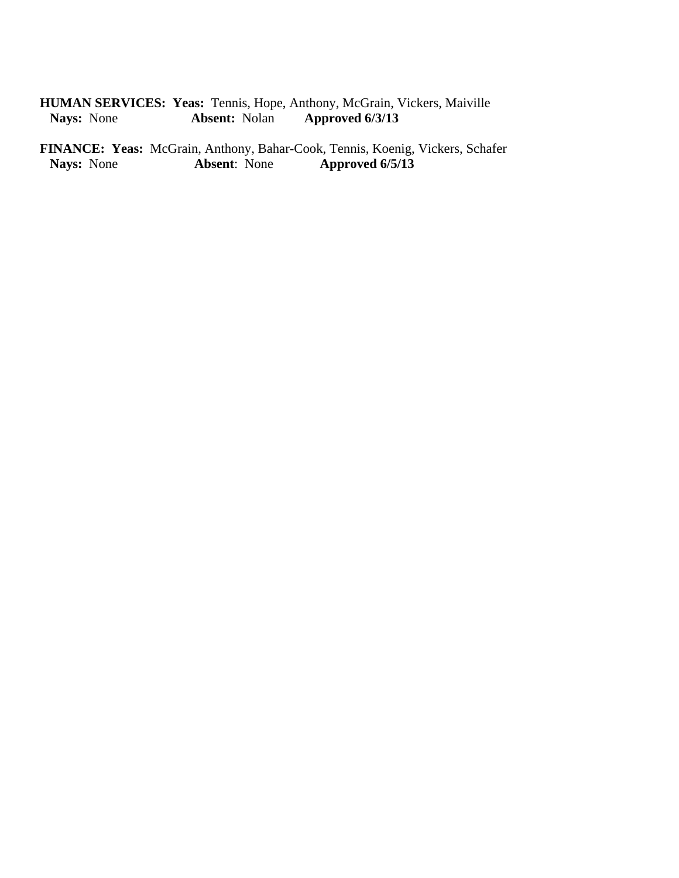# **HUMAN SERVICES: Yeas:** Tennis, Hope, Anthony, McGrain, Vickers, Maiville Nays: None Absent: Nolan Approved 6/3/13 **Absent:** Nolan **Approved 6/3/13**

**FINANCE: Yeas:** McGrain, Anthony, Bahar-Cook, Tennis, Koenig, Vickers, Schafer<br>Nays: None **Absent**: None **Approved 6/5/13 Nays:** None **Absent**: None **Approved 6/5/13**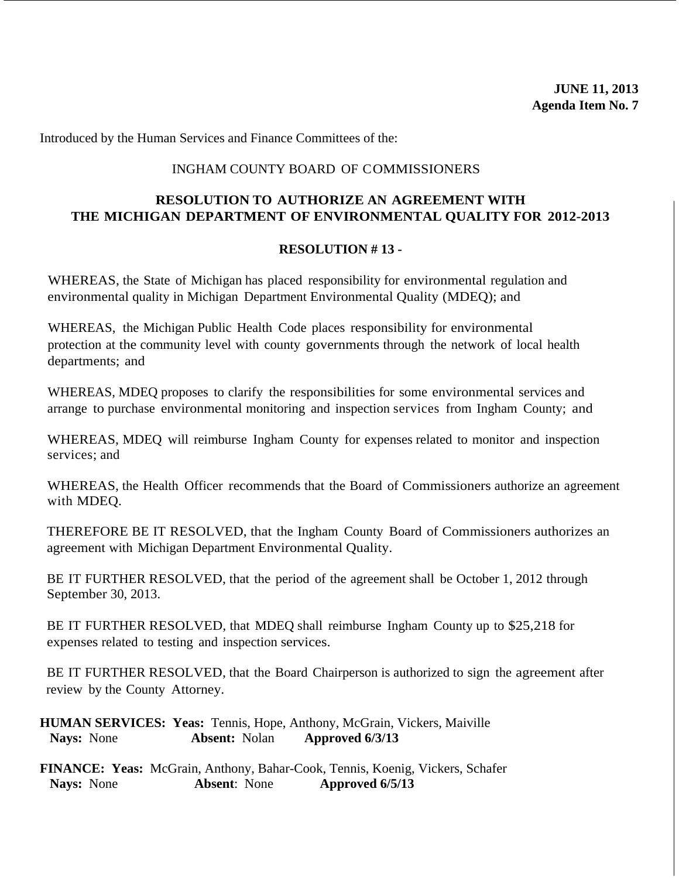<span id="page-47-0"></span>Introduced by the Human Services and Finance Committees of the:

#### INGHAM COUNTY BOARD OF COMMISSIONERS

## **RESOLUTION TO AUTHORIZE AN AGREEMENT WITH THE MICHIGAN DEPARTMENT OF ENVIRONMENTAL QUALITY FOR 2012-2013**

#### **RESOLUTION # 13 -**

WHEREAS, the State of Michigan has placed responsibility for environmental regulation and environmental quality in Michigan Department Environmental Quality (MDEQ); and

WHEREAS, the Michigan Public Health Code places responsibility for environmental protection at the community level with county governments through the network of local health departments; and

WHEREAS, MDEQ proposes to clarify the responsibilities for some environmental services and arrange to purchase environmental monitoring and inspection services from Ingham County; and

WHEREAS, MDEQ will reimburse Ingham County for expenses related to monitor and inspection services; and

WHEREAS, the Health Officer recommends that the Board of Commissioners authorize an agreement with MDEQ.

THEREFORE BE IT RESOLVED, that the Ingham County Board of Commissioners authorizes an agreement with Michigan Department Environmental Quality.

BE IT FURTHER RESOLVED, that the period of the agreement shall be October 1, 2012 through September 30, 2013.

BE IT FURTHER RESOLVED, that MDEQ shall reimburse Ingham County up to \$25,218 for expenses related to testing and inspection services.

BE IT FURTHER RESOLVED, that the Board Chairperson is authorized to sign the agreement after review by the County Attorney.

**HUMAN SERVICES: Yeas:** Tennis, Hope, Anthony, McGrain, Vickers, Maiville  **Nays:** None **Absent:** Nolan **Approved 6/3/13** 

**FINANCE: Yeas:** McGrain, Anthony, Bahar-Cook, Tennis, Koenig, Vickers, Schafer **Nays:** None **Absent**: None **Approved 6/5/13**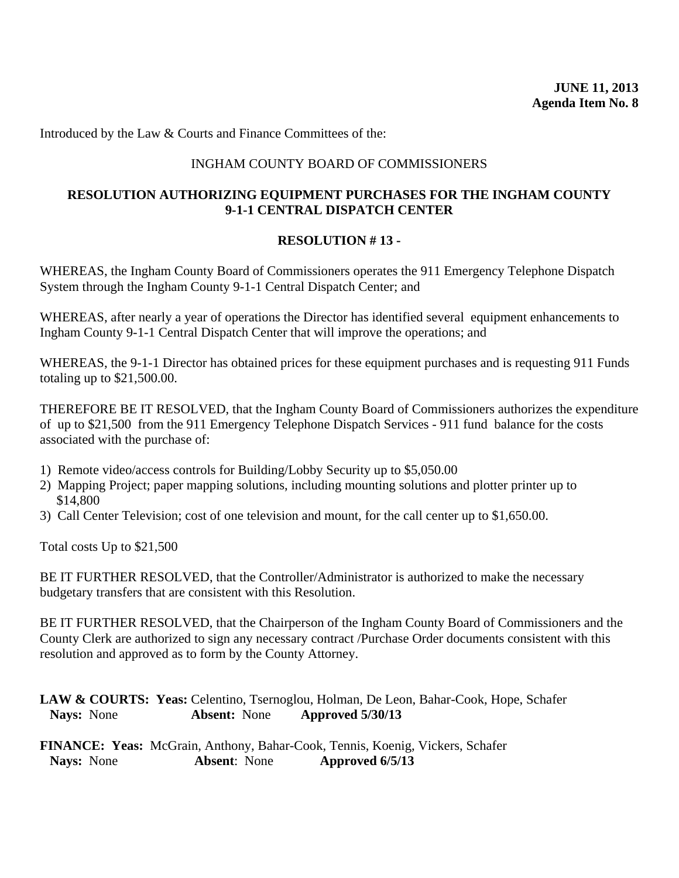<span id="page-48-0"></span>Introduced by the Law & Courts and Finance Committees of the:

#### INGHAM COUNTY BOARD OF COMMISSIONERS

## **RESOLUTION AUTHORIZING EQUIPMENT PURCHASES FOR THE INGHAM COUNTY 9-1-1 CENTRAL DISPATCH CENTER**

#### **RESOLUTION # 13 -**

WHEREAS, the Ingham County Board of Commissioners operates the 911 Emergency Telephone Dispatch System through the Ingham County 9-1-1 Central Dispatch Center; and

WHEREAS, after nearly a year of operations the Director has identified several equipment enhancements to Ingham County 9-1-1 Central Dispatch Center that will improve the operations; and

WHEREAS, the 9-1-1 Director has obtained prices for these equipment purchases and is requesting 911 Funds totaling up to \$21,500.00.

THEREFORE BE IT RESOLVED, that the Ingham County Board of Commissioners authorizes the expenditure of up to \$21,500 from the 911 Emergency Telephone Dispatch Services - 911 fund balance for the costs associated with the purchase of:

- 1) Remote video/access controls for Building/Lobby Security up to \$5,050.00
- 2) Mapping Project; paper mapping solutions, including mounting solutions and plotter printer up to \$14,800
- 3) Call Center Television; cost of one television and mount, for the call center up to \$1,650.00.

Total costs Up to \$21,500

BE IT FURTHER RESOLVED, that the Controller/Administrator is authorized to make the necessary budgetary transfers that are consistent with this Resolution.

BE IT FURTHER RESOLVED, that the Chairperson of the Ingham County Board of Commissioners and the County Clerk are authorized to sign any necessary contract /Purchase Order documents consistent with this resolution and approved as to form by the County Attorney.

**LAW & COURTS: Yeas:** Celentino, Tsernoglou, Holman, De Leon, Bahar-Cook, Hope, Schafer  **Nays:** None **Absent:** None **Approved 5/30/13** 

**FINANCE: Yeas:** McGrain, Anthony, Bahar-Cook, Tennis, Koenig, Vickers, Schafer **Nays:** None **Absent**: None **Approved 6/5/13**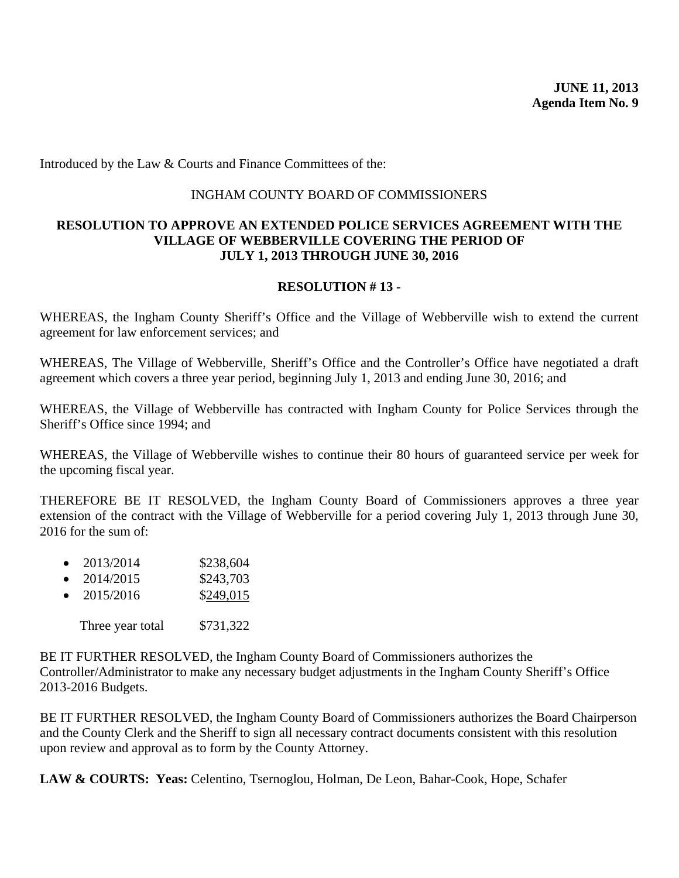<span id="page-49-0"></span>Introduced by the Law & Courts and Finance Committees of the:

#### INGHAM COUNTY BOARD OF COMMISSIONERS

#### **RESOLUTION TO APPROVE AN EXTENDED POLICE SERVICES AGREEMENT WITH THE VILLAGE OF WEBBERVILLE COVERING THE PERIOD OF JULY 1, 2013 THROUGH JUNE 30, 2016**

#### **RESOLUTION # 13 -**

WHEREAS, the Ingham County Sheriff's Office and the Village of Webberville wish to extend the current agreement for law enforcement services; and

WHEREAS, The Village of Webberville, Sheriff's Office and the Controller's Office have negotiated a draft agreement which covers a three year period, beginning July 1, 2013 and ending June 30, 2016; and

WHEREAS, the Village of Webberville has contracted with Ingham County for Police Services through the Sheriff's Office since 1994; and

WHEREAS, the Village of Webberville wishes to continue their 80 hours of guaranteed service per week for the upcoming fiscal year.

THEREFORE BE IT RESOLVED, the Ingham County Board of Commissioners approves a three year extension of the contract with the Village of Webberville for a period covering July 1, 2013 through June 30, 2016 for the sum of:

- $2013/2014$  \$238,604
- $2014/2015$  \$243,703
- $2015/2016$  \$249,015

Three year total \$731,322

BE IT FURTHER RESOLVED, the Ingham County Board of Commissioners authorizes the Controller/Administrator to make any necessary budget adjustments in the Ingham County Sheriff's Office 2013-2016 Budgets.

BE IT FURTHER RESOLVED, the Ingham County Board of Commissioners authorizes the Board Chairperson and the County Clerk and the Sheriff to sign all necessary contract documents consistent with this resolution upon review and approval as to form by the County Attorney.

**LAW & COURTS: Yeas:** Celentino, Tsernoglou, Holman, De Leon, Bahar-Cook, Hope, Schafer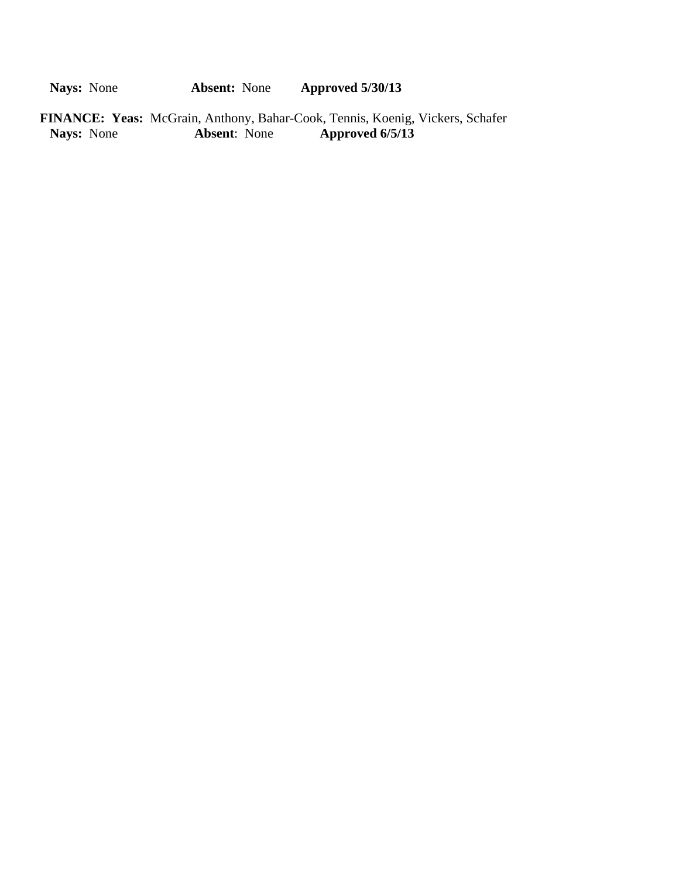**Nays:** None **Absent:** None **Approved 5/30/13** 

FINANCE: Yeas: McGrain, Anthony, Bahar-Cook, Tennis, Koenig, Vickers, Schafer<br>Nays: None<br>Absent: None<br>Approved 6/5/13 **Nays:** None **Absent**: None **Approved 6/5/13**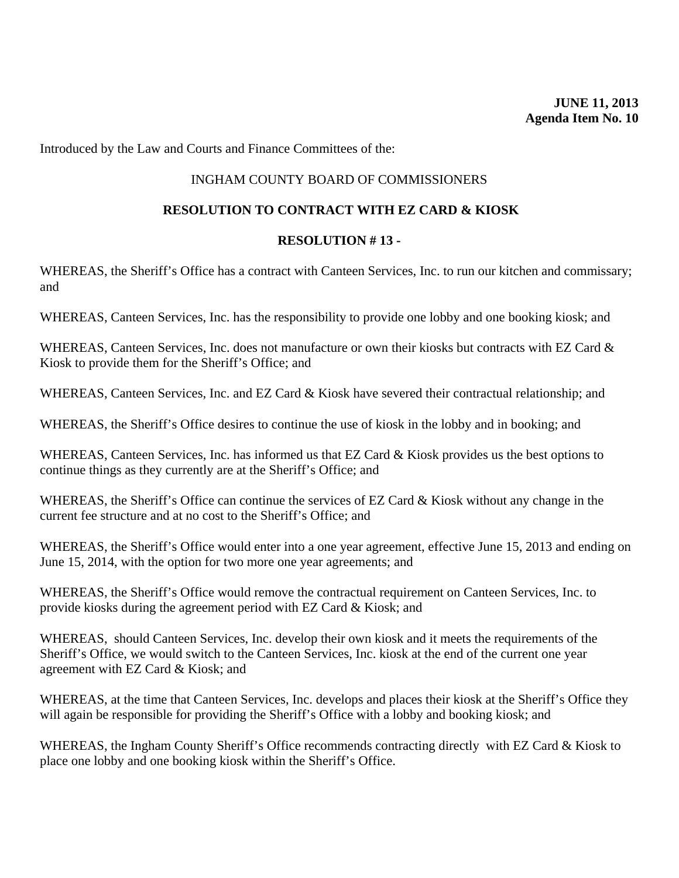<span id="page-51-0"></span>Introduced by the Law and Courts and Finance Committees of the:

## INGHAM COUNTY BOARD OF COMMISSIONERS

#### **RESOLUTION TO CONTRACT WITH EZ CARD & KIOSK**

#### **RESOLUTION # 13 -**

WHEREAS, the Sheriff's Office has a contract with Canteen Services, Inc. to run our kitchen and commissary; and

WHEREAS, Canteen Services, Inc. has the responsibility to provide one lobby and one booking kiosk; and

WHEREAS, Canteen Services, Inc. does not manufacture or own their kiosks but contracts with EZ Card & Kiosk to provide them for the Sheriff's Office; and

WHEREAS, Canteen Services, Inc. and EZ Card & Kiosk have severed their contractual relationship; and

WHEREAS, the Sheriff's Office desires to continue the use of kiosk in the lobby and in booking; and

WHEREAS, Canteen Services, Inc. has informed us that EZ Card & Kiosk provides us the best options to continue things as they currently are at the Sheriff's Office; and

WHEREAS, the Sheriff's Office can continue the services of EZ Card & Kiosk without any change in the current fee structure and at no cost to the Sheriff's Office; and

WHEREAS, the Sheriff's Office would enter into a one year agreement, effective June 15, 2013 and ending on June 15, 2014, with the option for two more one year agreements; and

WHEREAS, the Sheriff's Office would remove the contractual requirement on Canteen Services, Inc. to provide kiosks during the agreement period with EZ Card & Kiosk; and

WHEREAS, should Canteen Services, Inc. develop their own kiosk and it meets the requirements of the Sheriff's Office, we would switch to the Canteen Services, Inc. kiosk at the end of the current one year agreement with EZ Card & Kiosk; and

WHEREAS, at the time that Canteen Services, Inc. develops and places their kiosk at the Sheriff's Office they will again be responsible for providing the Sheriff's Office with a lobby and booking kiosk; and

WHEREAS, the Ingham County Sheriff's Office recommends contracting directly with EZ Card & Kiosk to place one lobby and one booking kiosk within the Sheriff's Office.